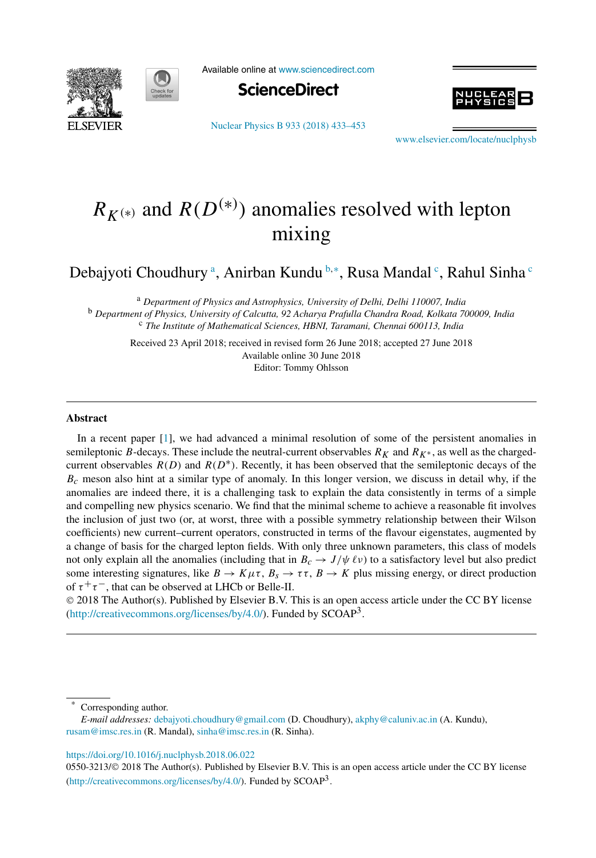



Available online at [www.sciencedirect.com](http://www.sciencedirect.com)



[Nuclear Physics B 933 \(2018\) 433–453](https://doi.org/10.1016/j.nuclphysb.2018.06.022)



[www.elsevier.com/locate/nuclphysb](http://www.elsevier.com/locate/nuclphysb)

# $R_{K^{(*)}}$  and  $R(D^{(*)})$  anomalies resolved with lepton mixing

Debajyoti Choudhury ª, Anirban Kundu <sup>b,</sup>\*, Rusa Mandal <sup>c</sup>, Rahul Sinha <sup>c</sup>

<sup>a</sup> *Department of Physics and Astrophysics, University of Delhi, Delhi 110007, India* <sup>b</sup> *Department of Physics, University of Calcutta, 92 Acharya Prafulla Chandra Road, Kolkata 700009, India* <sup>c</sup> *The Institute of Mathematical Sciences, HBNI, Taramani, Chennai 600113, India*

Received 23 April 2018; received in revised form 26 June 2018; accepted 27 June 2018 Available online 30 June 2018 Editor: Tommy Ohlsson

## **Abstract**

In a recent paper [\[1\]](#page-18-0), we had advanced a minimal resolution of some of the persistent anomalies in semileptonic *B*-decays. These include the neutral-current observables  $R_K$  and  $R_{K^*}$ , as well as the chargedcurrent observables *R(D)* and *R(D*∗*)*. Recently, it has been observed that the semileptonic decays of the *Bc* meson also hint at a similar type of anomaly. In this longer version, we discuss in detail why, if the anomalies are indeed there, it is a challenging task to explain the data consistently in terms of a simple and compelling new physics scenario. We find that the minimal scheme to achieve a reasonable fit involves the inclusion of just two (or, at worst, three with a possible symmetry relationship between their Wilson coefficients) new current–current operators, constructed in terms of the flavour eigenstates, augmented by a change of basis for the charged lepton fields. With only three unknown parameters, this class of models not only explain all the anomalies (including that in  $B_c \to J/\psi \ell \nu$ ) to a satisfactory level but also predict some interesting signatures, like  $B \to K \mu \tau$ ,  $B_s \to \tau \tau$ ,  $B \to K$  plus missing energy, or direct production of  $\tau^+\tau^-$ , that can be observed at LHCb or Belle-II.

© 2018 The Author(s). Published by Elsevier B.V. This is an open access article under the CC BY license [\(http://creativecommons.org/licenses/by/4.0/](http://creativecommons.org/licenses/by/4.0/)). Funded by  $SCOAP<sup>3</sup>$ .

Corresponding author.

#### <https://doi.org/10.1016/j.nuclphysb.2018.06.022>

0550-3213/© 2018 The Author(s). Published by Elsevier B.V. This is an open access article under the CC BY license [\(http://creativecommons.org/licenses/by/4.0/](http://creativecommons.org/licenses/by/4.0/)). Funded by SCOAP<sup>3</sup>.

*E-mail addresses:* [debajyoti.choudhury@gmail.com](mailto:debajyoti.choudhury@gmail.com) (D. Choudhury), [akphy@caluniv.ac.in](mailto:akphy@caluniv.ac.in) (A. Kundu), [rusam@imsc.res.in](mailto:rusam@imsc.res.in) (R. Mandal), [sinha@imsc.res.in](mailto:sinha@imsc.res.in) (R. Sinha).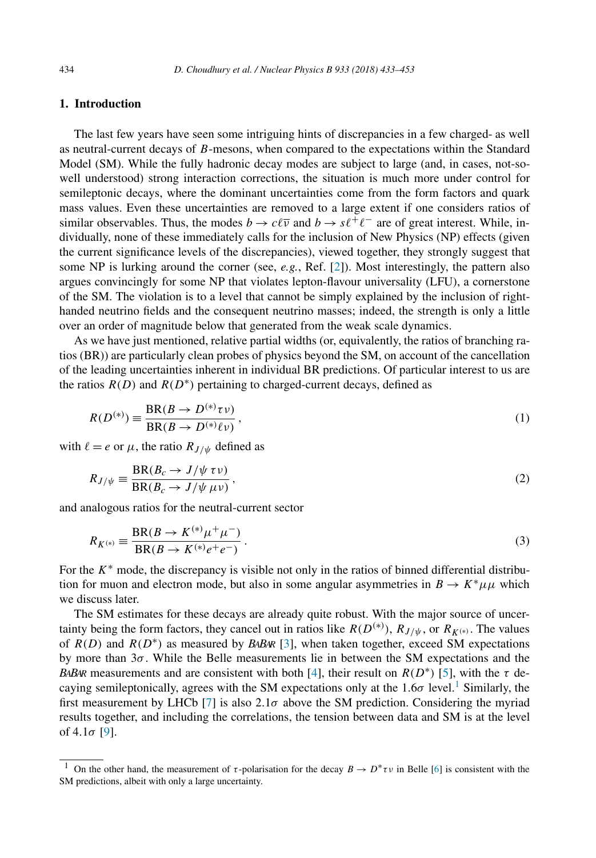# <span id="page-1-0"></span>**1. Introduction**

The last few years have seen some intriguing hints of discrepancies in a few charged- as well as neutral-current decays of *B*-mesons, when compared to the expectations within the Standard Model (SM). While the fully hadronic decay modes are subject to large (and, in cases, not-sowell understood) strong interaction corrections, the situation is much more under control for semileptonic decays, where the dominant uncertainties come from the form factors and quark mass values. Even these uncertainties are removed to a large extent if one considers ratios of similar observables. Thus, the modes  $b \to c\ell\bar{\nu}$  and  $b \to s\ell^+\ell^-$  are of great interest. While, individually, none of these immediately calls for the inclusion of New Physics (NP) effects (given the current significance levels of the discrepancies), viewed together, they strongly suggest that some NP is lurking around the corner (see, *e.g.*, Ref. [\[2\]](#page-18-0)). Most interestingly, the pattern also argues convincingly for some NP that violates lepton-flavour universality (LFU), a cornerstone of the SM. The violation is to a level that cannot be simply explained by the inclusion of righthanded neutrino fields and the consequent neutrino masses; indeed, the strength is only a little over an order of magnitude below that generated from the weak scale dynamics.

As we have just mentioned, relative partial widths (or, equivalently, the ratios of branching ratios (BR)) are particularly clean probes of physics beyond the SM, on account of the cancellation of the leading uncertainties inherent in individual BR predictions. Of particular interest to us are the ratios  $R(D)$  and  $R(D^*)$  pertaining to charged-current decays, defined as

$$
R(D^{(*)}) \equiv \frac{\text{BR}(B \to D^{(*)}\tau \nu)}{\text{BR}(B \to D^{(*)}\ell \nu)},
$$
\n(1)

with  $\ell = e$  or  $\mu$ , the ratio  $R_{J/\psi}$  defined as

$$
R_{J/\psi} \equiv \frac{\text{BR}(B_c \to J/\psi \,\tau \nu)}{\text{BR}(B_c \to J/\psi \,\mu \nu)},
$$
\n(2)

and analogous ratios for the neutral-current sector

$$
R_{K^{(*)}} = \frac{\text{BR}(B \to K^{(*)}\mu^+\mu^-)}{\text{BR}(B \to K^{(*)}e^+e^-)}.
$$
\n(3)

For the *K*<sup>∗</sup> mode, the discrepancy is visible not only in the ratios of binned differential distribution for muon and electron mode, but also in some angular asymmetries in  $B \to K^* \mu \mu$  which we discuss later.

The SM estimates for these decays are already quite robust. With the major source of uncertainty being the form factors, they cancel out in ratios like  $R(D^{(*)})$ ,  $R_{J/\psi}$ , or  $R_{K^{(*)}}$ . The values of *R(D)* and *R(D*∗*)* as measured by *BABAR* [\[3\]](#page-18-0), when taken together, exceed SM expectations by more than 3*σ* . While the Belle measurements lie in between the SM expectations and the *BABAR* measurements and are consistent with both [\[4\]](#page-18-0), their result on  $R(D^*)$  [\[5\]](#page-18-0), with the  $\tau$  decaying semileptonically, agrees with the SM expectations only at the  $1.6\sigma$  level.<sup>1</sup> Similarly, the first measurement by LHCb [\[7\]](#page-18-0) is also  $2.1\sigma$  above the SM prediction. Considering the myriad results together, and including the correlations, the tension between data and SM is at the level of 4*.*1*σ* [\[9\]](#page-18-0).

<sup>&</sup>lt;sup>1</sup> On the other hand, the measurement of  $\tau$ -polarisation for the decay  $B \to D^* \tau \nu$  in Belle [\[6\]](#page-18-0) is consistent with the SM predictions, albeit with only a large uncertainty.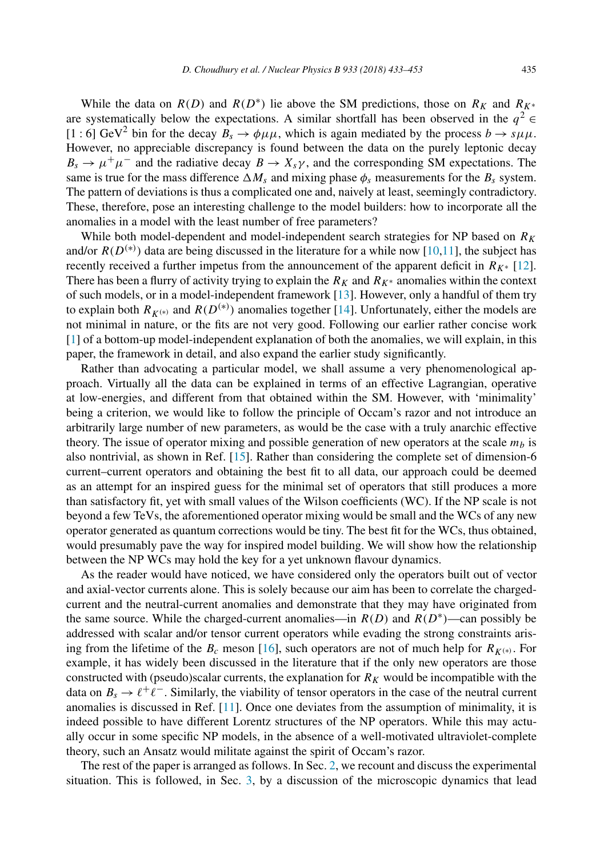While the data on  $R(D)$  and  $R(D*)$  lie above the SM predictions, those on  $R_K$  and  $R_{K^*}$ are systematically below the expectations. A similar shortfall has been observed in the  $q^2 \in$  $[1 : 6]$  GeV<sup>2</sup> bin for the decay  $B_s \rightarrow \phi \mu \mu$ , which is again mediated by the process  $b \rightarrow s \mu \mu$ . However, no appreciable discrepancy is found between the data on the purely leptonic decay  $B_s \to \mu^+\mu^-$  and the radiative decay  $B \to X_s\gamma$ , and the corresponding SM expectations. The same is true for the mass difference  $\Delta M_s$  and mixing phase  $\phi_s$  measurements for the  $B_s$  system. The pattern of deviations is thus a complicated one and, naively at least, seemingly contradictory. These, therefore, pose an interesting challenge to the model builders: how to incorporate all the anomalies in a model with the least number of free parameters?

While both model-dependent and model-independent search strategies for NP based on  $R_K$ and/or  $R(D^{(*)})$  data are being discussed in the literature for a while now [\[10,11\]](#page-18-0), the subject has recently received a further impetus from the announcement of the apparent deficit in  $R_{K^*}$  [\[12\]](#page-18-0). There has been a flurry of activity trying to explain the  $R_K$  and  $R_{K^*}$  anomalies within the context of such models, or in a model-independent framework [\[13\]](#page-18-0). However, only a handful of them try to explain both  $R_{K^{(*)}}$  and  $R(D^{(*)})$  anomalies together [\[14\]](#page-19-0). Unfortunately, either the models are not minimal in nature, or the fits are not very good. Following our earlier rather concise work [\[1\]](#page-18-0) of a bottom-up model-independent explanation of both the anomalies, we will explain, in this paper, the framework in detail, and also expand the earlier study significantly.

Rather than advocating a particular model, we shall assume a very phenomenological approach. Virtually all the data can be explained in terms of an effective Lagrangian, operative at low-energies, and different from that obtained within the SM. However, with 'minimality' being a criterion, we would like to follow the principle of Occam's razor and not introduce an arbitrarily large number of new parameters, as would be the case with a truly anarchic effective theory. The issue of operator mixing and possible generation of new operators at the scale  $m_b$  is also nontrivial, as shown in Ref. [\[15\]](#page-19-0). Rather than considering the complete set of dimension-6 current–current operators and obtaining the best fit to all data, our approach could be deemed as an attempt for an inspired guess for the minimal set of operators that still produces a more than satisfactory fit, yet with small values of the Wilson coefficients (WC). If the NP scale is not beyond a few TeVs, the aforementioned operator mixing would be small and the WCs of any new operator generated as quantum corrections would be tiny. The best fit for the WCs, thus obtained, would presumably pave the way for inspired model building. We will show how the relationship between the NP WCs may hold the key for a yet unknown flavour dynamics.

As the reader would have noticed, we have considered only the operators built out of vector and axial-vector currents alone. This is solely because our aim has been to correlate the chargedcurrent and the neutral-current anomalies and demonstrate that they may have originated from the same source. While the charged-current anomalies—in  $R(D)$  and  $R(D<sup>*</sup>)$ —can possibly be addressed with scalar and/or tensor current operators while evading the strong constraints arising from the lifetime of the  $B_c$  meson [\[16\]](#page-19-0), such operators are not of much help for  $R_{K(*)}$ . For example, it has widely been discussed in the literature that if the only new operators are those constructed with (pseudo)scalar currents, the explanation for  $R_K$  would be incompatible with the data on  $B_s \to \ell^+ \ell^-$ . Similarly, the viability of tensor operators in the case of the neutral current anomalies is discussed in Ref. [\[11\]](#page-18-0). Once one deviates from the assumption of minimality, it is indeed possible to have different Lorentz structures of the NP operators. While this may actually occur in some specific NP models, in the absence of a well-motivated ultraviolet-complete theory, such an Ansatz would militate against the spirit of Occam's razor.

The rest of the paper is arranged as follows. In Sec. [2,](#page-3-0) we recount and discuss the experimental situation. This is followed, in Sec. [3,](#page-6-0) by a discussion of the microscopic dynamics that lead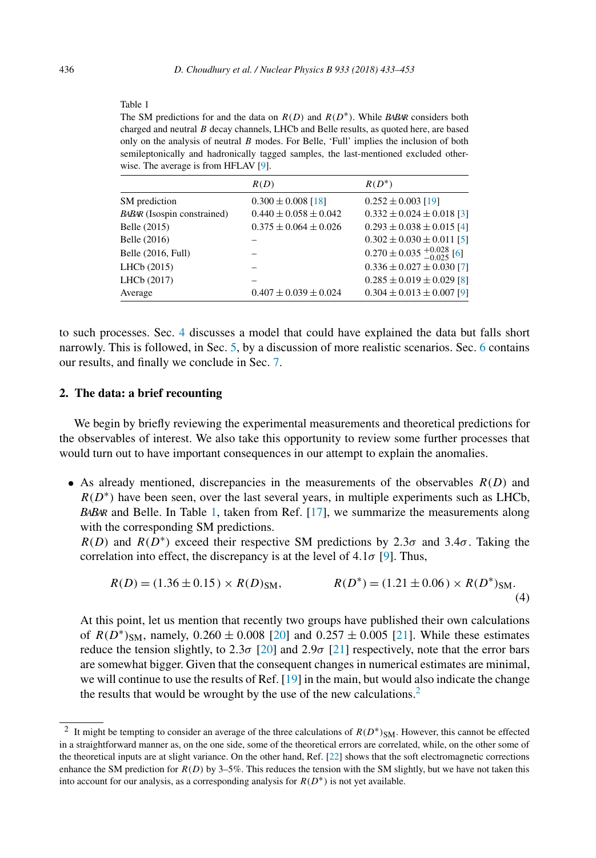#### <span id="page-3-0"></span>Table 1

The SM predictions for and the data on *R(D)* and *R(D*∗*)*. While *BABAR* considers both charged and neutral *B* decay channels, LHCb and Belle results, as quoted here, are based only on the analysis of neutral *B* modes. For Belle, 'Full' implies the inclusion of both semileptonically and hadronically tagged samples, the last-mentioned excluded otherwise. The average is from HFLAV [\[9\]](#page-18-0).

|                                    | R(D)                        | $R(D^*)$                                |
|------------------------------------|-----------------------------|-----------------------------------------|
| SM prediction                      | $0.300 \pm 0.008$ [18]      | $0.252 \pm 0.003$ [19]                  |
| <b>BABAR</b> (Isospin constrained) | $0.440 \pm 0.058 \pm 0.042$ | $0.332 \pm 0.024 \pm 0.018$ [3]         |
| Belle (2015)                       | $0.375 \pm 0.064 \pm 0.026$ | $0.293 \pm 0.038 \pm 0.015$ [4]         |
| Belle (2016)                       |                             | $0.302 \pm 0.030 \pm 0.011$ [5]         |
| Belle (2016, Full)                 |                             | $0.270 \pm 0.035_{-0.025}^{+0.028}$ [6] |
| LHCb (2015)                        |                             | $0.336 \pm 0.027 \pm 0.030$ [7]         |
| LHCb (2017)                        |                             | $0.285 \pm 0.019 \pm 0.029$ [8]         |
| Average                            | $0.407 \pm 0.039 \pm 0.024$ | $0.304 \pm 0.013 \pm 0.007$ [9]         |

to such processes. Sec. [4](#page-8-0) discusses a model that could have explained the data but falls short narrowly. This is followed, in Sec. [5,](#page-11-0) by a discussion of more realistic scenarios. Sec. [6](#page-12-0) contains our results, and finally we conclude in Sec. [7.](#page-15-0)

## **2. The data: a brief recounting**

We begin by briefly reviewing the experimental measurements and theoretical predictions for the observables of interest. We also take this opportunity to review some further processes that would turn out to have important consequences in our attempt to explain the anomalies.

• As already mentioned, discrepancies in the measurements of the observables  $R(D)$  and  $R(D^*)$  have been seen, over the last several years, in multiple experiments such as LHCb, *BABAR* and Belle. In Table 1, taken from Ref. [\[17\]](#page-19-0), we summarize the measurements along with the corresponding SM predictions.

 $R(D)$  and  $R(D^*)$  exceed their respective SM predictions by 2.3*σ* and 3.4*σ*. Taking the correlation into effect, the discrepancy is at the level of 4*.*1*σ* [\[9\]](#page-18-0). Thus,

$$
R(D) = (1.36 \pm 0.15) \times R(D)_{\text{SM}}, \qquad R(D^*) = (1.21 \pm 0.06) \times R(D^*)_{\text{SM}}.
$$
\n(4)

At this point, let us mention that recently two groups have published their own calculations of  $R(D^*)_{SM}$ , namely,  $0.260 \pm 0.008$  [\[20\]](#page-19-0) and  $0.257 \pm 0.005$  [\[21\]](#page-19-0). While these estimates reduce the tension slightly, to 2.3*σ* [\[20\]](#page-19-0) and 2.9*σ* [\[21\]](#page-19-0) respectively, note that the error bars are somewhat bigger. Given that the consequent changes in numerical estimates are minimal, we will continue to use the results of Ref. [\[19\]](#page-19-0) in the main, but would also indicate the change the results that would be wrought by the use of the new calculations.<sup>2</sup>

<sup>2</sup> It might be tempting to consider an average of the three calculations of *R(D*∗*)*SM. However, this cannot be effected in a straightforward manner as, on the one side, some of the theoretical errors are correlated, while, on the other some of the theoretical inputs are at slight variance. On the other hand, Ref. [\[22\]](#page-19-0) shows that the soft electromagnetic corrections enhance the SM prediction for  $R(D)$  by 3–5%. This reduces the tension with the SM slightly, but we have not taken this into account for our analysis, as a corresponding analysis for  $R(D^*)$  is not yet available.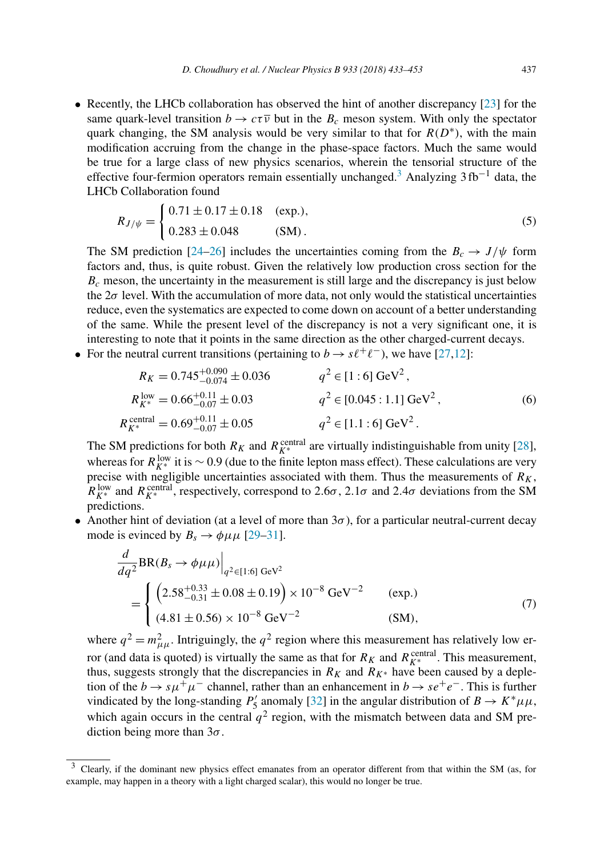<span id="page-4-0"></span>• Recently, the LHCb collaboration has observed the hint of another discrepancy [\[23\]](#page-19-0) for the same quark-level transition  $b \to c\tau\overline{\nu}$  but in the  $B_c$  meson system. With only the spectator quark changing, the SM analysis would be very similar to that for  $R(D^*)$ , with the main modification accruing from the change in the phase-space factors. Much the same would be true for a large class of new physics scenarios, wherein the tensorial structure of the effective four-fermion operators remain essentially unchanged.<sup>3</sup> Analyzing 3 fb<sup>-1</sup> data, the LHCb Collaboration found

$$
R_{J/\psi} = \begin{cases} 0.71 \pm 0.17 \pm 0.18 & \text{(exp.)},\\ 0.283 \pm 0.048 & \text{(SM)}. \end{cases}
$$
(5)

The SM prediction [\[24–26\]](#page-19-0) includes the uncertainties coming from the  $B_c \rightarrow J/\psi$  form factors and, thus, is quite robust. Given the relatively low production cross section for the  $B<sub>c</sub>$  meson, the uncertainty in the measurement is still large and the discrepancy is just below the  $2\sigma$  level. With the accumulation of more data, not only would the statistical uncertainties reduce, even the systematics are expected to come down on account of a better understanding of the same. While the present level of the discrepancy is not a very significant one, it is interesting to note that it points in the same direction as the other charged-current decays.

• For the neutral current transitions (pertaining to  $b \to s\ell^+\ell^-$ ), we have [\[27,12\]](#page-19-0):

$$
R_K = 0.745^{+0.090}_{-0.074} \pm 0.036
$$
  
\n
$$
R_{K^*}^{\text{low}} = 0.66^{+0.11}_{-0.07} \pm 0.03
$$
  
\n
$$
R_{K^*}^{\text{central}} = 0.69^{+0.11}_{-0.07} \pm 0.05
$$
  
\n
$$
q^2 \in [1.6] \text{ GeV}^2,
$$
  
\n
$$
q^2 \in [0.045:1.1] \text{ GeV}^2,
$$
  
\n
$$
q^2 \in [1.1:6] \text{ GeV}^2.
$$
  
\n(6)

The SM predictions for both  $R_K$  and  $R_{K^*}^{\text{central}}$  are virtually indistinguishable from unity [\[28\]](#page-19-0), whereas for  $R_{K^*}^{\text{low}}$  it is  $\sim 0.9$  (due to the finite lepton mass effect). These calculations are very precise with negligible uncertainties associated with them. Thus the measurements of  $R_K$ ,  $R_{K^*}^{\text{low}}$  and  $R_{K^*}^{\text{central}}$ , respectively, correspond to 2*.6* $\sigma$ , 2*.1* $\sigma$  and 2*.4* $\sigma$  deviations from the SM predictions.

• Another hint of deviation (at a level of more than  $3\sigma$ ), for a particular neutral-current decay mode is evinced by  $B_s \rightarrow \phi \mu \mu$  [\[29–31\]](#page-19-0).

$$
\frac{d}{dq^2} BR(B_s \to \phi \mu \mu) \Big|_{q^2 \in [1:6] \text{ GeV}^2}
$$
\n
$$
= \begin{cases}\n\left(2.58^{+0.33}_{-0.31} \pm 0.08 \pm 0.19\right) \times 10^{-8} \text{ GeV}^{-2} & \text{(exp.)} \\
(4.81 \pm 0.56) \times 10^{-8} \text{ GeV}^{-2} & \text{(SM)},\n\end{cases}
$$
\n(7)

where  $q^2 = m_{\mu\mu}^2$ . Intriguingly, the  $q^2$  region where this measurement has relatively low error (and data is quoted) is virtually the same as that for  $R_K$  and  $R_{K^*}^{\text{central}}$ . This measurement, thus, suggests strongly that the discrepancies in  $R_K$  and  $R_{K^*}$  have been caused by a depletion of the *b*  $\rightarrow s\mu^{+}\mu^{-}$  channel, rather than an enhancement in *b*  $\rightarrow s e^{+}e^{-}$ . This is further vindicated by the long-standing  $P'_5$  anomaly [\[32\]](#page-19-0) in the angular distribution of  $B \to K^* \mu \mu$ , which again occurs in the central  $q^2$  region, with the mismatch between data and SM prediction being more than 3*σ* .

 $3$  Clearly, if the dominant new physics effect emanates from an operator different from that within the SM (as, for example, may happen in a theory with a light charged scalar), this would no longer be true.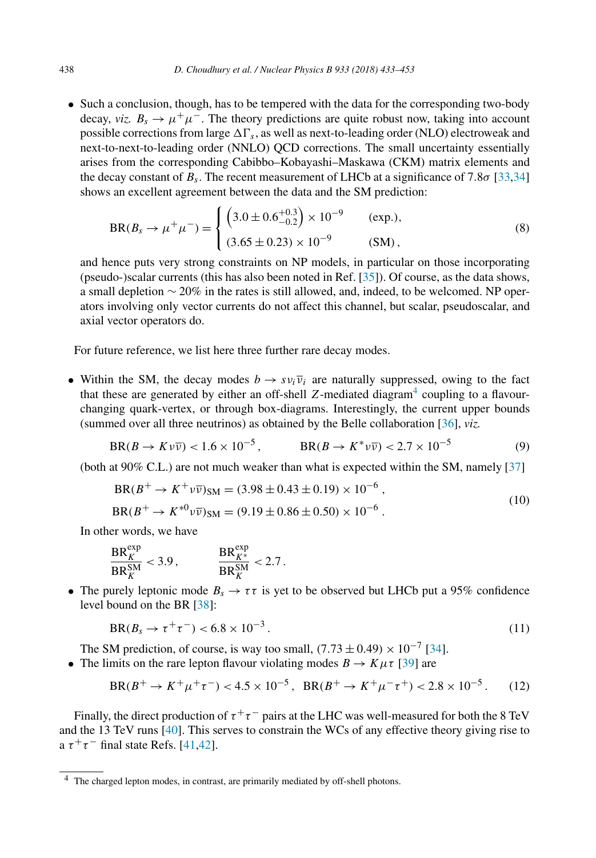<span id="page-5-0"></span>• Such a conclusion, though, has to be tempered with the data for the corresponding two-body decay, *viz.*  $B_s \rightarrow \mu^+\mu^-$ . The theory predictions are quite robust now, taking into account possible corrections from large  $\Delta\Gamma_s$ , as well as next-to-leading order (NLO) electroweak and next-to-next-to-leading order (NNLO) QCD corrections. The small uncertainty essentially arises from the corresponding Cabibbo–Kobayashi–Maskawa (CKM) matrix elements and the decay constant of *Bs*. The recent measurement of LHCb at a significance of 7*.*8*σ* [\[33,34\]](#page-19-0) shows an excellent agreement between the data and the SM prediction:

$$
BR(B_s \to \mu^+ \mu^-) = \begin{cases} \left(3.0 \pm 0.6^{+0.3}_{-0.2}\right) \times 10^{-9} & \text{(exp.)},\\ (3.65 \pm 0.23) \times 10^{-9} & \text{(SM)}, \end{cases}
$$
 (8)

and hence puts very strong constraints on NP models, in particular on those incorporating (pseudo-)scalar currents (this has also been noted in Ref. [\[35\]](#page-19-0)). Of course, as the data shows, a small depletion ∼ 20% in the rates is still allowed, and, indeed, to be welcomed. NP operators involving only vector currents do not affect this channel, but scalar, pseudoscalar, and axial vector operators do.

For future reference, we list here three further rare decay modes.

• Within the SM, the decay modes  $b \rightarrow s v_i \overline{v}_i$  are naturally suppressed, owing to the fact that these are generated by either an off-shell  $Z$ -mediated diagram<sup>4</sup> coupling to a flavourchanging quark-vertex, or through box-diagrams. Interestingly, the current upper bounds (summed over all three neutrinos) as obtained by the Belle collaboration [\[36\]](#page-19-0), *viz.*

$$
BR(B \to K \nu \overline{\nu}) < 1.6 \times 10^{-5}, \qquad \qquad BR(B \to K^* \nu \overline{\nu}) < 2.7 \times 10^{-5} \tag{9}
$$

(both at 90% C.L.) are not much weaker than what is expected within the SM, namely [\[37\]](#page-19-0)

$$
BR(B^+ \to K^+ \nu \overline{\nu})_{SM} = (3.98 \pm 0.43 \pm 0.19) \times 10^{-6},
$$
  
\n
$$
BR(B^+ \to K^{*0} \nu \overline{\nu})_{SM} = (9.19 \pm 0.86 \pm 0.50) \times 10^{-6}.
$$
\n(10)

In other words, we have

$$
\frac{\text{BR}_{K}^{\text{exp}}}{\text{BR}_{K}^{\text{SM}}} < 3.9\,, \qquad \qquad \frac{\text{BR}_{K^*}^{\text{exp}}}{\text{BR}_{K}^{\text{SM}}} < 2.7\,.
$$

• The purely leptonic mode  $B_s \to \tau \tau$  is yet to be observed but LHCb put a 95% confidence level bound on the BR [\[38\]](#page-19-0):

$$
BR(B_s \to \tau^+ \tau^-) < 6.8 \times 10^{-3} \,. \tag{11}
$$

The SM prediction, of course, is way too small,  $(7.73 \pm 0.49) \times 10^{-7}$  [\[34\]](#page-19-0).

• The limits on the rare lepton flavour violating modes  $B \to K \mu \tau$  [\[39\]](#page-19-0) are

$$
BR(B^+ \to K^+ \mu^+ \tau^-) < 4.5 \times 10^{-5}, \quad BR(B^+ \to K^+ \mu^- \tau^+) < 2.8 \times 10^{-5} \,. \tag{12}
$$

Finally, the direct production of  $\tau^+\tau^-$  pairs at the LHC was well-measured for both the 8 TeV and the 13 TeV runs [\[40\]](#page-19-0). This serves to constrain the WCs of any effective theory giving rise to a  $\tau^+\tau^-$  final state Refs. [\[41,42\]](#page-19-0).

<sup>4</sup> The charged lepton modes, in contrast, are primarily mediated by off-shell photons.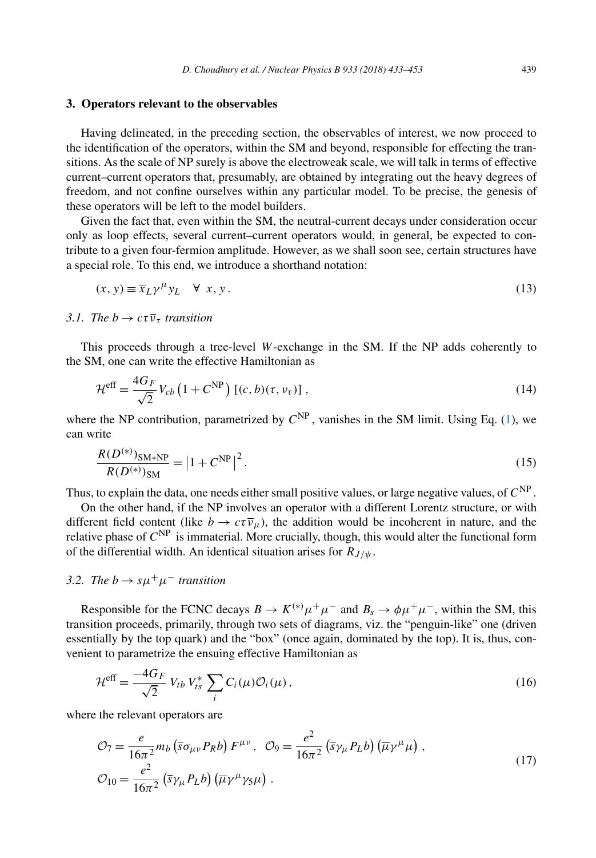## <span id="page-6-0"></span>**3. Operators relevant to the observables**

Having delineated, in the preceding section, the observables of interest, we now proceed to the identification of the operators, within the SM and beyond, responsible for effecting the transitions. As the scale of NP surely is above the electroweak scale, we will talk in terms of effective current–current operators that, presumably, are obtained by integrating out the heavy degrees of freedom, and not confine ourselves within any particular model. To be precise, the genesis of these operators will be left to the model builders.

Given the fact that, even within the SM, the neutral-current decays under consideration occur only as loop effects, several current–current operators would, in general, be expected to contribute to a given four-fermion amplitude. However, as we shall soon see, certain structures have a special role. To this end, we introduce a shorthand notation:

$$
(x, y) \equiv \overline{x}_L \gamma^\mu y_L \quad \forall \, x, y. \tag{13}
$$

*3.1. The*  $b \rightarrow c\tau \overline{\nu}_{\tau}$  *transition* 

This proceeds through a tree-level *W*-exchange in the SM. If the NP adds coherently to the SM, one can write the effective Hamiltonian as

$$
\mathcal{H}^{\text{eff}} = \frac{4G_F}{\sqrt{2}} V_{cb} \left( 1 + C^{\text{NP}} \right) \left[ (c, b)(\tau, \nu_\tau) \right],\tag{14}
$$

where the NP contribution, parametrized by  $C^{NP}$ , vanishes in the SM limit. Using Eq. [\(1\)](#page-1-0), we can write

$$
\frac{R(D^{(*)})_{\text{SM+NP}}}{R(D^{(*)})_{\text{SM}}} = |1 + C^{\text{NP}}|^{2}.
$$
\n(15)

Thus, to explain the data, one needs either small positive values, or large negative values, of *C*NP .

On the other hand, if the NP involves an operator with a different Lorentz structure, or with different field content (like  $b \to c\tau \overline{\nu}_\mu$ ), the addition would be incoherent in nature, and the relative phase of *C*NP is immaterial. More crucially, though, this would alter the functional form of the differential width. An identical situation arises for  $R_{J/\psi}$ .

# *3.2. The*  $b \rightarrow s \mu^+ \mu^-$  *transition*

Responsible for the FCNC decays  $B \to K^{(*)} \mu^+ \mu^-$  and  $B_s \to \phi \mu^+ \mu^-$ , within the SM, this transition proceeds, primarily, through two sets of diagrams, viz. the "penguin-like" one (driven essentially by the top quark) and the "box" (once again, dominated by the top). It is, thus, convenient to parametrize the ensuing effective Hamiltonian as

$$
\mathcal{H}^{\text{eff}} = \frac{-4G_F}{\sqrt{2}} V_{tb} V_{ts}^* \sum_i C_i(\mu) \mathcal{O}_i(\mu), \qquad (16)
$$

where the relevant operators are

$$
\mathcal{O}_7 = \frac{e}{16\pi^2} m_b \left( \overline{s} \sigma_{\mu\nu} P_R b \right) F^{\mu\nu}, \quad \mathcal{O}_9 = \frac{e^2}{16\pi^2} \left( \overline{s} \gamma_\mu P_L b \right) \left( \overline{\mu} \gamma^\mu \mu \right),
$$
  

$$
\mathcal{O}_{10} = \frac{e^2}{16\pi^2} \left( \overline{s} \gamma_\mu P_L b \right) \left( \overline{\mu} \gamma^\mu \gamma_5 \mu \right).
$$
 (17)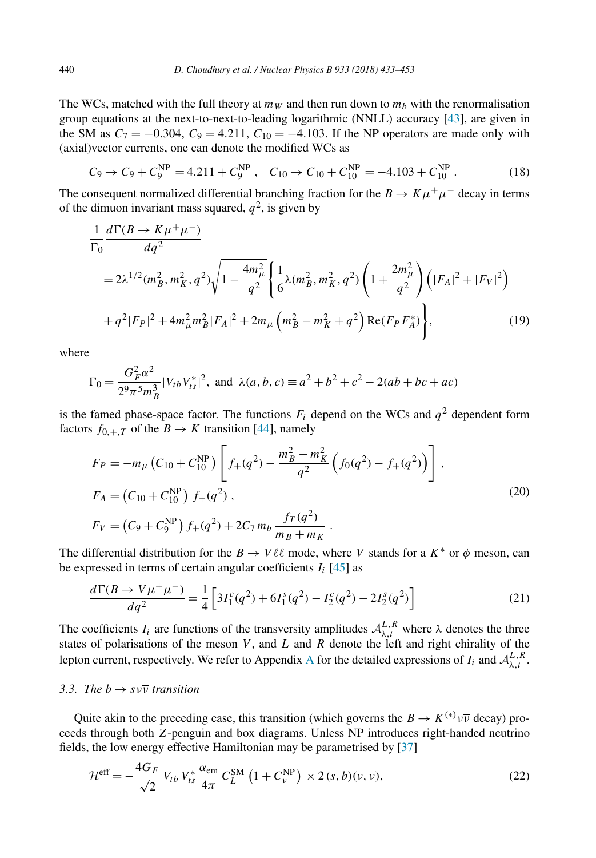The WCs, matched with the full theory at  $m_W$  and then run down to  $m_b$  with the renormalisation group equations at the next-to-next-to-leading logarithmic (NNLL) accuracy [\[43\]](#page-20-0), are given in the SM as  $C_7 = -0.304$ ,  $C_9 = 4.211$ ,  $C_{10} = -4.103$ . If the NP operators are made only with (axial)vector currents, one can denote the modified WCs as

$$
C_9 \to C_9 + C_9^{\text{NP}} = 4.211 + C_9^{\text{NP}}, \quad C_{10} \to C_{10} + C_{10}^{\text{NP}} = -4.103 + C_{10}^{\text{NP}}. \tag{18}
$$

The consequent normalized differential branching fraction for the  $B \to K \mu^+ \mu^-$  decay in terms of the dimuon invariant mass squared,  $q^2$ , is given by

$$
\frac{1}{\Gamma_0} \frac{d\Gamma(B \to K\mu^+\mu^-)}{dq^2}
$$
\n
$$
= 2\lambda^{1/2} (m_B^2, m_K^2, q^2) \sqrt{1 - \frac{4m_\mu^2}{q^2}} \left\{ \frac{1}{6} \lambda (m_B^2, m_K^2, q^2) \left( 1 + \frac{2m_\mu^2}{q^2} \right) \left( |F_A|^2 + |F_V|^2 \right) + q^2 |F_P|^2 + 4m_\mu^2 m_B^2 |F_A|^2 + 2m_\mu \left( m_B^2 - m_K^2 + q^2 \right) \text{Re}(F_P F_A^*) \right\},
$$
\n
$$
(19)
$$

where

$$
\Gamma_0 = \frac{G_F^2 \alpha^2}{2^9 \pi^5 m_B^3} |V_{tb} V_{ts}^*|^2
$$
, and  $\lambda(a, b, c) \equiv a^2 + b^2 + c^2 - 2(ab + bc + ac)$ 

is the famed phase-space factor. The functions  $F_i$  depend on the WCs and  $q^2$  dependent form factors  $f_{0,+T}$  of the  $B \to K$  transition [\[44\]](#page-20-0), namely

$$
F_P = -m_\mu \left( C_{10} + C_{10}^{\text{NP}} \right) \left[ f_+(q^2) - \frac{m_B^2 - m_K^2}{q^2} \left( f_0(q^2) - f_+(q^2) \right) \right],
$$
  
\n
$$
F_A = \left( C_{10} + C_{10}^{\text{NP}} \right) f_+(q^2),
$$
  
\n
$$
F_V = \left( C_9 + C_9^{\text{NP}} \right) f_+(q^2) + 2C_7 m_b \frac{f_T(q^2)}{m_B + m_K}.
$$
\n(20)

The differential distribution for the  $B \to V \ell \ell$  mode, where *V* stands for a  $K^*$  or  $\phi$  meson, can be expressed in terms of certain angular coefficients  $I_i$  [\[45\]](#page-20-0) as

$$
\frac{d\Gamma(B \to V\mu^{+}\mu^{-})}{dq^2} = \frac{1}{4} \left[ 3I_1^c(q^2) + 6I_1^s(q^2) - I_2^c(q^2) - 2I_2^s(q^2) \right]
$$
(21)

The coefficients  $I_i$  are functions of the transversity amplitudes  $A_{\lambda,t}^{L,R}$  where  $\lambda$  denotes the three states of polarisations of the meson *V* , and *L* and *R* denote the left and right chirality of the lepton current, respectively. We refer to [A](#page-17-0)ppendix A for the detailed expressions of  $I_i$  and  $\mathcal{A}_{\lambda,t}^{L,R}$ .

# *3.3. The*  $b \rightarrow s \nu \overline{\nu}$  *transition*

Quite akin to the preceding case, this transition (which governs the  $B \to K^{(*)} \nu \overline{\nu}$  decay) proceeds through both *Z*-penguin and box diagrams. Unless NP introduces right-handed neutrino fields, the low energy effective Hamiltonian may be parametrised by [\[37\]](#page-19-0)

$$
\mathcal{H}^{\text{eff}} = -\frac{4G_F}{\sqrt{2}} V_{tb} V_{ts}^* \frac{\alpha_{\text{em}}}{4\pi} C_L^{\text{SM}} \left(1 + C_v^{\text{NP}}\right) \times 2\left(s, b\right)(v, v),\tag{22}
$$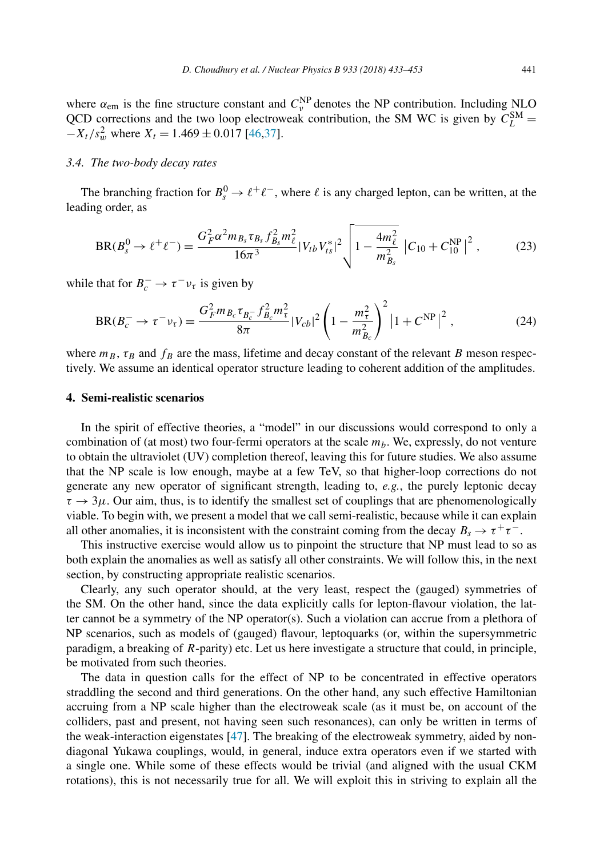<span id="page-8-0"></span>where  $\alpha_{em}$  is the fine structure constant and  $C_v^{NP}$  denotes the NP contribution. Including NLO QCD corrections and the two loop electroweak contribution, the SM WC is given by  $C_L^{SM}$  =  $-X_t$ / $s_w^2$  where  $X_t = 1.469 \pm 0.017$  [\[46,37\]](#page-20-0).

## *3.4. The two-body decay rates*

The branching fraction for  $B_s^0 \to \ell^+ \ell^-$ , where  $\ell$  is any charged lepton, can be written, at the leading order, as

$$
BR(B_s^0 \to \ell^+ \ell^-) = \frac{G_F^2 \alpha^2 m_{B_s} \tau_{B_s} f_{B_s}^2 m_{\ell}^2}{16\pi^3} |V_{tb} V_{ts}^*|^2 \left(1 - \frac{4m_{\ell}^2}{m_{B_s}^2} |C_{10} + C_{10}^{NP}|^2 \right),\tag{23}
$$

while that for  $B_c^- \to \tau^- \nu_{\tau}$  is given by

$$
BR(B_c^- \to \tau^- \nu_\tau) = \frac{G_F^2 m_{B_c} \tau_{B_c^-} f_{B_c}^2 m_\tau^2}{8\pi} |V_{cb}|^2 \left(1 - \frac{m_\tau^2}{m_{B_c}^2}\right)^2 \left|1 + C^{NP}\right|^2, \tag{24}
$$

where  $m_B$ ,  $\tau_B$  and  $f_B$  are the mass, lifetime and decay constant of the relevant *B* meson respectively. We assume an identical operator structure leading to coherent addition of the amplitudes.

# **4. Semi-realistic scenarios**

In the spirit of effective theories, a "model" in our discussions would correspond to only a combination of (at most) two four-fermi operators at the scale  $m<sub>b</sub>$ . We, expressly, do not venture to obtain the ultraviolet (UV) completion thereof, leaving this for future studies. We also assume that the NP scale is low enough, maybe at a few TeV, so that higher-loop corrections do not generate any new operator of significant strength, leading to, *e.g.*, the purely leptonic decay  $\tau \rightarrow 3\mu$ . Our aim, thus, is to identify the smallest set of couplings that are phenomenologically viable. To begin with, we present a model that we call semi-realistic, because while it can explain all other anomalies, it is inconsistent with the constraint coming from the decay  $B_s \to \tau^+\tau^-$ .

This instructive exercise would allow us to pinpoint the structure that NP must lead to so as both explain the anomalies as well as satisfy all other constraints. We will follow this, in the next section, by constructing appropriate realistic scenarios.

Clearly, any such operator should, at the very least, respect the (gauged) symmetries of the SM. On the other hand, since the data explicitly calls for lepton-flavour violation, the latter cannot be a symmetry of the NP operator(s). Such a violation can accrue from a plethora of NP scenarios, such as models of (gauged) flavour, leptoquarks (or, within the supersymmetric paradigm, a breaking of *R*-parity) etc. Let us here investigate a structure that could, in principle, be motivated from such theories.

The data in question calls for the effect of NP to be concentrated in effective operators straddling the second and third generations. On the other hand, any such effective Hamiltonian accruing from a NP scale higher than the electroweak scale (as it must be, on account of the colliders, past and present, not having seen such resonances), can only be written in terms of the weak-interaction eigenstates [\[47\]](#page-20-0). The breaking of the electroweak symmetry, aided by nondiagonal Yukawa couplings, would, in general, induce extra operators even if we started with a single one. While some of these effects would be trivial (and aligned with the usual CKM rotations), this is not necessarily true for all. We will exploit this in striving to explain all the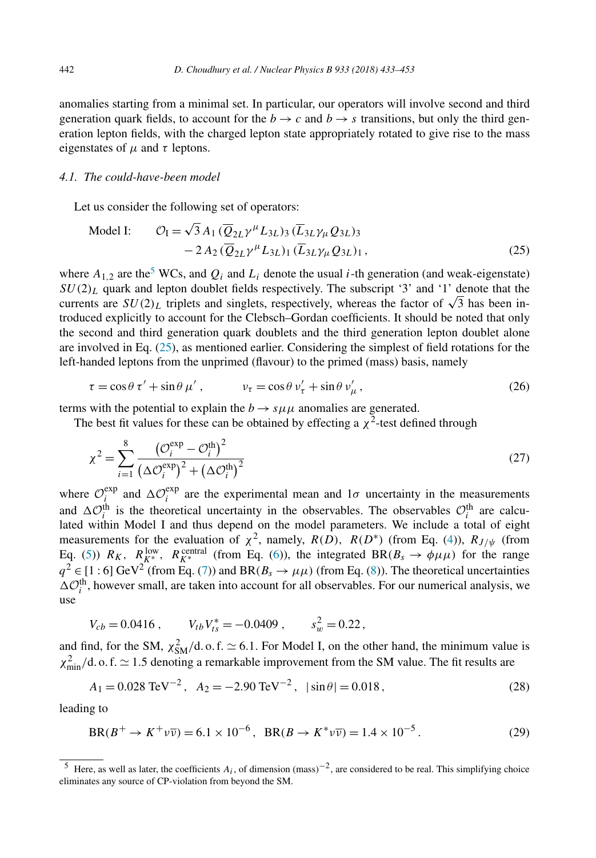<span id="page-9-0"></span>anomalies starting from a minimal set. In particular, our operators will involve second and third generation quark fields, to account for the  $b \rightarrow c$  and  $b \rightarrow s$  transitions, but only the third generation lepton fields, with the charged lepton state appropriately rotated to give rise to the mass eigenstates of  $\mu$  and  $\tau$  leptons.

#### *4.1. The could-have-been model*

Let us consider the following set of operators:

$$
\text{Model I:} \qquad \mathcal{O}_{\text{I}} = \sqrt{3} A_1 \left( \overline{Q}_{2L} \gamma^{\mu} L_{3L} \right)_3 \left( \overline{L}_{3L} \gamma_{\mu} Q_{3L} \right)_3 - 2 A_2 \left( \overline{Q}_{2L} \gamma^{\mu} L_{3L} \right)_1 \left( \overline{L}_{3L} \gamma_{\mu} Q_{3L} \right)_1, \tag{25}
$$

where  $A_{1,2}$  are the<sup>5</sup> WCs, and  $Q_i$  and  $L_i$  denote the usual *i*-th generation (and weak-eigenstate)  $SU(2)_L$  quark and lepton doublet fields respectively. The subscript '3' and '1' denote that the  $SU(2)_L$  quark and lepton doublet nelds respectively. The subscript 3 and 1 denote that the currents are  $SU(2)_L$  triplets and singlets, respectively, whereas the factor of  $\sqrt{3}$  has been introduced explicitly to account for the Clebsch–Gordan coefficients. It should be noted that only the second and third generation quark doublets and the third generation lepton doublet alone are involved in Eq. (25), as mentioned earlier. Considering the simplest of field rotations for the left-handed leptons from the unprimed (flavour) to the primed (mass) basis, namely

$$
\tau = \cos \theta \tau' + \sin \theta \mu', \qquad \qquad \nu_{\tau} = \cos \theta \nu'_{\tau} + \sin \theta \nu'_{\mu}, \qquad (26)
$$

terms with the potential to explain the  $b \rightarrow s \mu \mu$  anomalies are generated.

The best fit values for these can be obtained by effecting a  $\chi^2$ -test defined through

$$
\chi^2 = \sum_{i=1}^8 \frac{\left(\mathcal{O}_i^{\exp} - \mathcal{O}_i^{\text{th}}\right)^2}{\left(\Delta \mathcal{O}_i^{\exp}\right)^2 + \left(\Delta \mathcal{O}_i^{\text{th}}\right)^2}
$$
(27)

where  $\mathcal{O}_i^{\text{exp}}$  and  $\Delta \mathcal{O}_i^{\text{exp}}$  are the experimental mean and  $1\sigma$  uncertainty in the measurements and  $\Delta O_i^{\text{th}}$  is the theoretical uncertainty in the observables. The observables  $O_i^{\text{th}}$  are calculated within Model I and thus depend on the model parameters. We include a total of eight measurements for the evaluation of  $\chi^2$ , namely,  $R(D)$ ,  $R(D^*)$  (from Eq. [\(4\)](#page-3-0)),  $R_{J/\psi}$  (from Eq. [\(5\)](#page-4-0))  $R_K$ ,  $R_K^{\text{low}}$ ,  $R_K^{\text{central}}$  (from Eq. [\(6\)](#page-4-0)), the integrated  $BR(B_s \to \phi \mu \mu)$  for the range  $q^2 \in [1:6]$  GeV<sup>2</sup> (from Eq. [\(7\)](#page-4-0)) and BR( $B_s \to \mu\mu$ ) (from Eq. [\(8\)](#page-5-0)). The theoretical uncertainties  $\Delta \mathcal{O}_i^{\text{th}}$ , however small, are taken into account for all observables. For our numerical analysis, we use

$$
V_{cb} = 0.0416 , \t V_{tb} V_{ts}^* = -0.0409 , \t s_w^2 = 0.22 ,
$$

and find, for the SM,  $\chi^2_{SM}/d$ . o. f.  $\simeq 6.1$ . For Model I, on the other hand, the minimum value is *χ*<sub>2</sub><sup>2</sup><sub>min</sub>/d. o. f.  $\approx$  1.5 denoting a remarkable improvement from the SM value. The fit results are

$$
A_1 = 0.028 \text{ TeV}^{-2}, A_2 = -2.90 \text{ TeV}^{-2}, |\sin \theta| = 0.018,
$$
 (28)

leading to

$$
BR(B^+ \to K^+ \nu \overline{\nu}) = 6.1 \times 10^{-6}, \quad BR(B \to K^* \nu \overline{\nu}) = 1.4 \times 10^{-5}.
$$
 (29)

<sup>&</sup>lt;sup>5</sup> Here, as well as later, the coefficients  $A_i$ , of dimension (mass)<sup>-2</sup>, are considered to be real. This simplifying choice eliminates any source of CP-violation from beyond the SM.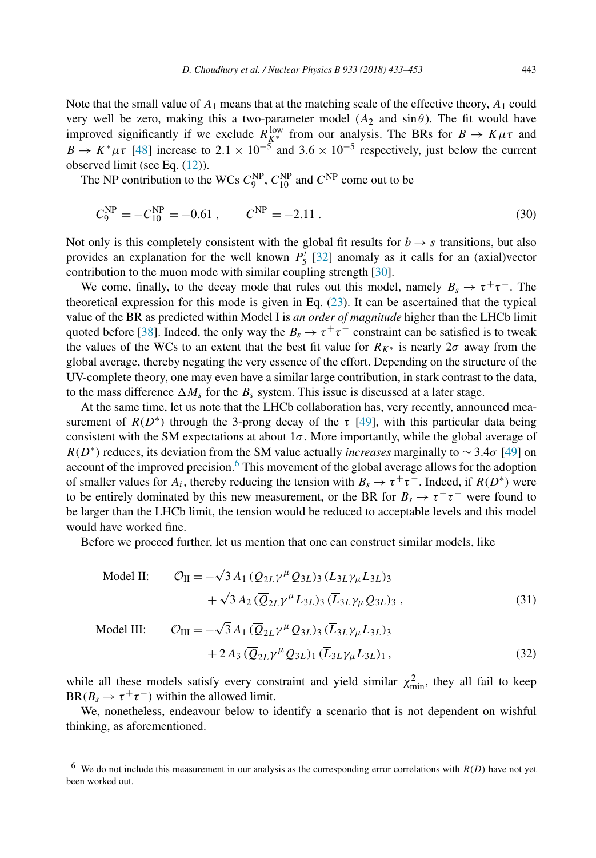Note that the small value of *A*<sup>1</sup> means that at the matching scale of the effective theory, *A*<sup>1</sup> could very well be zero, making this a two-parameter model  $(A_2 \text{ and } \sin \theta)$ . The fit would have improved significantly if we exclude  $R_{K^*}^{\text{low}}$  from our analysis. The BRs for  $B \to K \mu \tau$  and  $B \to K^* \mu \tau$  [\[48\]](#page-20-0) increase to 2.1 × 10<sup>-5</sup> and 3.6 × 10<sup>-5</sup> respectively, just below the current observed limit (see Eq. [\(12\)](#page-5-0)).

The NP contribution to the WCs  $C_9^{\text{NP}}$ ,  $C_{10}^{\text{NP}}$  and  $C^{\text{NP}}$  come out to be

$$
C_9^{\rm NP} = -C_{10}^{\rm NP} = -0.61 \,, \qquad C^{\rm NP} = -2.11 \,. \tag{30}
$$

Not only is this completely consistent with the global fit results for  $b \rightarrow s$  transitions, but also provides an explanation for the well known  $P'_5$  [\[32\]](#page-19-0) anomaly as it calls for an (axial)vector contribution to the muon mode with similar coupling strength [\[30\]](#page-19-0).

We come, finally, to the decay mode that rules out this model, namely  $B_s \to \tau^+\tau^-$ . The theoretical expression for this mode is given in Eq. [\(23\)](#page-8-0). It can be ascertained that the typical value of the BR as predicted within Model I is *an order of magnitude* higher than the LHCb limit quoted before [\[38\]](#page-19-0). Indeed, the only way the  $B_s \to \tau^+\tau^-$  constraint can be satisfied is to tweak the values of the WCs to an extent that the best fit value for  $R_{K^*}$  is nearly 2*σ* away from the global average, thereby negating the very essence of the effort. Depending on the structure of the UV-complete theory, one may even have a similar large contribution, in stark contrast to the data, to the mass difference  $\Delta M_s$  for the  $B_s$  system. This issue is discussed at a later stage.

At the same time, let us note that the LHCb collaboration has, very recently, announced measurement of  $R(D^*)$  through the 3-prong decay of the  $\tau$  [\[49\]](#page-20-0), with this particular data being consistent with the SM expectations at about  $1\sigma$ . More importantly, while the global average of  $R(D<sup>*</sup>)$  reduces, its deviation from the SM value actually *increases* marginally to ∼ 3.4*σ* [\[49\]](#page-20-0) on account of the improved precision.<sup>6</sup> This movement of the global average allows for the adoption of smaller values for  $A_i$ , thereby reducing the tension with  $B_s \to \tau^+ \tau^-$ . Indeed, if  $R(D^*)$  were to be entirely dominated by this new measurement, or the BR for  $B_s \to \tau^+\tau^-$  were found to be larger than the LHCb limit, the tension would be reduced to acceptable levels and this model would have worked fine.

Before we proceed further, let us mention that one can construct similar models, like

$$
\text{Model II:} \qquad \mathcal{O}_{II} = -\sqrt{3} A_1 \left( \overline{Q}_{2L} \gamma^{\mu} Q_{3L} \right)_3 \left( \overline{L}_{3L} \gamma_{\mu} L_{3L} \right)_3 + \sqrt{3} A_2 \left( \overline{Q}_{2L} \gamma^{\mu} L_{3L} \right)_3 \left( \overline{L}_{3L} \gamma_{\mu} Q_{3L} \right)_3 , \tag{31}
$$

$$
\text{Model III:} \qquad \mathcal{O}_{\text{III}} = -\sqrt{3} A_1 \left( \overline{Q}_{2L} \gamma^{\mu} Q_{3L} \right)_3 \left( \overline{L}_{3L} \gamma_{\mu} L_{3L} \right)_3 \n+ 2 A_3 \left( \overline{Q}_{2L} \gamma^{\mu} Q_{3L} \right)_1 \left( \overline{L}_{3L} \gamma_{\mu} L_{3L} \right)_1, \tag{32}
$$

while all these models satisfy every constraint and yield similar  $\chi^2_{\text{min}}$ , they all fail to keep  $BR(B_s \to \tau^+ \tau^-)$  within the allowed limit.

We, nonetheless, endeavour below to identify a scenario that is not dependent on wishful thinking, as aforementioned.

 $6\text{ We do not include this measurement in our analysis as the corresponding error correlations with  $R(D)$  have not yet$ been worked out.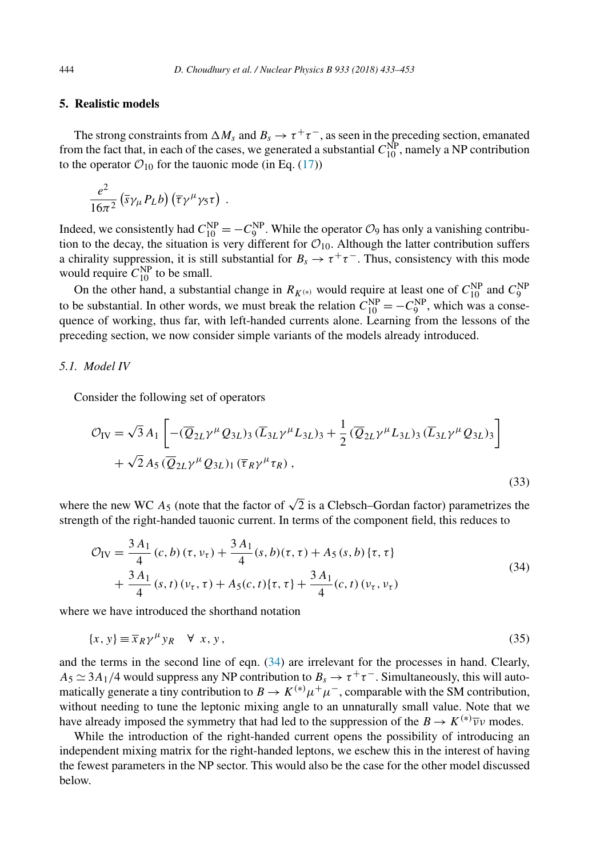# <span id="page-11-0"></span>**5. Realistic models**

The strong constraints from  $\Delta M_s$  and  $B_s \to \tau^+\tau^-$ , as seen in the preceding section, emanated from the fact that, in each of the cases, we generated a substantial  $C_{10}^{\text{NP}}$ , namely a NP contribution to the operator  $\mathcal{O}_{10}$  for the tauonic mode (in Eq. [\(17\)](#page-6-0))

$$
\frac{e^2}{16\pi^2} \left( \overline{s} \gamma_\mu P_L b \right) \left( \overline{\tau} \gamma^\mu \gamma_5 \tau \right) .
$$

Indeed, we consistently had  $C_{10}^{\text{NP}} = -C_9^{\text{NP}}$ . While the operator  $\mathcal{O}_9$  has only a vanishing contribution to the decay, the situation is very different for  $\mathcal{O}_{10}$ . Although the latter contribution suffers a chirality suppression, it is still substantial for  $B_s \to \tau^+\tau^-$ . Thus, consistency with this mode would require  $C_{10}^{NP}$  to be small.

On the other hand, a substantial change in  $R_{K^{(*)}}$  would require at least one of  $C_{10}^{NP}$  and  $C_{9}^{NP}$ to be substantial. In other words, we must break the relation  $C_{10}^{NP} = -C_9^{NP}$ , which was a consequence of working, thus far, with left-handed currents alone. Learning from the lessons of the preceding section, we now consider simple variants of the models already introduced.

## *5.1. Model IV*

Consider the following set of operators

$$
\mathcal{O}_{IV} = \sqrt{3} A_1 \left[ -(\overline{Q}_{2L} \gamma^{\mu} Q_{3L})_3 (\overline{L}_{3L} \gamma^{\mu} L_{3L})_3 + \frac{1}{2} (\overline{Q}_{2L} \gamma^{\mu} L_{3L})_3 (\overline{L}_{3L} \gamma^{\mu} Q_{3L})_3 \right] + \sqrt{2} A_5 (\overline{Q}_{2L} \gamma^{\mu} Q_{3L})_1 (\overline{\tau}_R \gamma^{\mu} \tau_R),
$$
\n(33)

where the new WC  $A_5$  (note that the factor of  $\sqrt{2}$  is a Clebsch–Gordan factor) parametrizes the strength of the right-handed tauonic current. In terms of the component field, this reduces to

$$
\mathcal{O}_{IV} = \frac{3 A_1}{4} (c, b) (\tau, \nu_\tau) + \frac{3 A_1}{4} (s, b) (\tau, \tau) + A_5 (s, b) \{ \tau, \tau \} + \frac{3 A_1}{4} (s, t) (\nu_\tau, \tau) + A_5 (c, t) \{ \tau, \tau \} + \frac{3 A_1}{4} (c, t) (\nu_\tau, \nu_\tau)
$$
\n(34)

where we have introduced the shorthand notation

$$
\{x, y\} \equiv \overline{x}_R \gamma^\mu y_R \quad \forall \ x, y,
$$
\n<sup>(35)</sup>

and the terms in the second line of eqn. (34) are irrelevant for the processes in hand. Clearly,  $A_5 \simeq 3A_1/4$  would suppress any NP contribution to  $B_s \to \tau^+\tau^-$ . Simultaneously, this will automatically generate a tiny contribution to  $B \to K^{(*)} \mu^+ \mu^-$ , comparable with the SM contribution, without needing to tune the leptonic mixing angle to an unnaturally small value. Note that we have already imposed the symmetry that had led to the suppression of the  $B \to K^{(*)}\overline{\nu}\nu$  modes.

While the introduction of the right-handed current opens the possibility of introducing an independent mixing matrix for the right-handed leptons, we eschew this in the interest of having the fewest parameters in the NP sector. This would also be the case for the other model discussed below.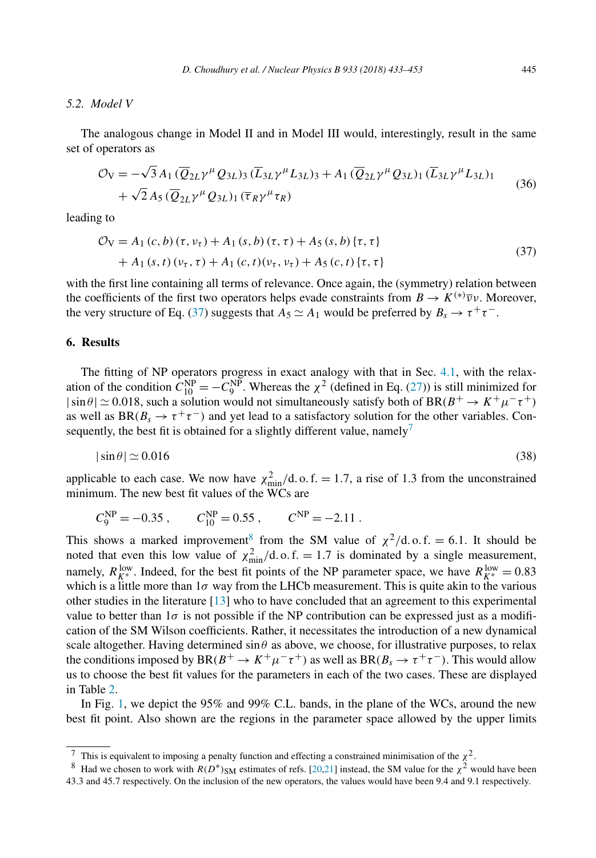## <span id="page-12-0"></span>*5.2. Model V*

The analogous change in Model II and in Model III would, interestingly, result in the same set of operators as

$$
\mathcal{O}_V = -\sqrt{3} A_1 (\overline{Q}_{2L} \gamma^\mu Q_{3L})_3 (\overline{L}_{3L} \gamma^\mu L_{3L})_3 + A_1 (\overline{Q}_{2L} \gamma^\mu Q_{3L})_1 (\overline{L}_{3L} \gamma^\mu L_{3L})_1 + \sqrt{2} A_5 (\overline{Q}_{2L} \gamma^\mu Q_{3L})_1 (\overline{\tau}_R \gamma^\mu \tau_R)
$$
\n(36)

leading to

$$
\mathcal{O}_V = A_1(c, b)(\tau, \nu_{\tau}) + A_1(s, b)(\tau, \tau) + A_5(s, b)\{\tau, \tau\} + A_1(s, t)(\nu_{\tau}, \tau) + A_1(c, t)(\nu_{\tau}, \nu_{\tau}) + A_5(c, t)\{\tau, \tau\}
$$
(37)

with the first line containing all terms of relevance. Once again, the (symmetry) relation between the coefficients of the first two operators helps evade constraints from  $B \to K^{(*)} \overline{\nu} \nu$ . Moreover, the very structure of Eq. (37) suggests that  $A_5 \simeq A_1$  would be preferred by  $B_s \to \tau^+ \tau^-$ .

# **6. Results**

The fitting of NP operators progress in exact analogy with that in Sec. [4.1,](#page-9-0) with the relaxation of the condition  $C_{10}^{NP} = -C_9^{NP}$ . Whereas the  $\chi^2$  (defined in Eq. [\(27\)](#page-9-0)) is still minimized for  $|\sin \theta| \simeq 0.018$ , such a solution would not simultaneously satisfy both of BR( $B^+ \rightarrow K^+ \mu^- \tau^+$ ) as well as  $BR(B_s \to \tau^+\tau^-)$  and yet lead to a satisfactory solution for the other variables. Consequently, the best fit is obtained for a slightly different value, namely<sup>7</sup>

$$
|\sin \theta| \simeq 0.016 \tag{38}
$$

applicable to each case. We now have  $\chi^2_{\text{min}}/d$ , o. f. = 1.7, a rise of 1.3 from the unconstrained minimum. The new best fit values of the WCs are

$$
C_9^{\text{NP}} = -0.35
$$
,  $C_{10}^{\text{NP}} = 0.55$ ,  $C^{\text{NP}} = -2.11$ .

This shows a marked improvement<sup>8</sup> from the SM value of  $\chi^2$ /d.o.f. = 6.1. It should be noted that even this low value of  $\chi^2_{\text{min}}/d$ . o. f. = 1.7 is dominated by a single measurement, namely,  $R_{K^*}^{\text{low}}$ . Indeed, for the best fit points of the NP parameter space, we have  $R_{K^*}^{\text{low}} = 0.83$ which is a little more than  $1\sigma$  way from the LHCb measurement. This is quite akin to the various other studies in the literature [\[13\]](#page-18-0) who to have concluded that an agreement to this experimental value to better than  $1\sigma$  is not possible if the NP contribution can be expressed just as a modification of the SM Wilson coefficients. Rather, it necessitates the introduction of a new dynamical scale altogether. Having determined  $\sin \theta$  as above, we choose, for illustrative purposes, to relax the conditions imposed by  $BR(B^+ \to K^+ \mu^- \tau^+)$  as well as  $BR(B_s \to \tau^+ \tau^-)$ . This would allow us to choose the best fit values for the parameters in each of the two cases. These are displayed in Table [2.](#page-13-0)

In Fig. [1,](#page-13-0) we depict the 95% and 99% C.L. bands, in the plane of the WCs, around the new best fit point. Also shown are the regions in the parameter space allowed by the upper limits

<sup>&</sup>lt;sup>7</sup> This is equivalent to imposing a penalty function and effecting a constrained minimisation of the  $\chi^2$ .

<sup>&</sup>lt;sup>8</sup> Had we chosen to work with  $R(D^*)_{\text{SM}}$  estimates of refs. [\[20,21\]](#page-19-0) instead, the SM value for the  $\chi^2$  would have been 43*.*3 and 45*.*7 respectively. On the inclusion of the new operators, the values would have been 9.4 and 9.1 respectively.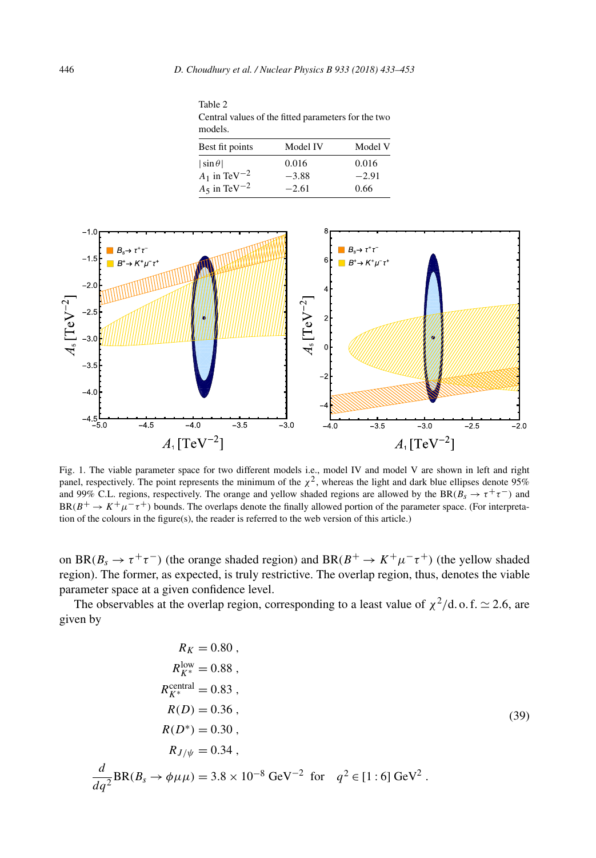<span id="page-13-0"></span>Table 2 Central values of the fitted parameters for the two models.

| Best fit points            | Model IV | Model V |
|----------------------------|----------|---------|
| $ \sin \theta $            | 0.016    | 0.016   |
| $A_1$ in TeV <sup>-2</sup> | $-3.88$  | $-2.91$ |
| $A_5$ in TeV <sup>-2</sup> | $-2.61$  | 0.66    |



Fig. 1. The viable parameter space for two different models i.e., model IV and model V are shown in left and right panel, respectively. The point represents the minimum of the  $\chi^2$ , whereas the light and dark blue ellipses denote 95% and 99% C.L. regions, respectively. The orange and yellow shaded regions are allowed by the BR( $B_s \to \tau^+\tau^-$ ) and  $BR(B^+ \to K^+\mu^-\tau^+)$  bounds. The overlaps denote the finally allowed portion of the parameter space. (For interpretation of the colours in the figure(s), the reader is referred to the web version of this article.)

on BR( $B_s \to \tau^+\tau^-$ ) (the orange shaded region) and BR( $B^+ \to K^+\mu^-\tau^+$ ) (the yellow shaded region). The former, as expected, is truly restrictive. The overlap region, thus, denotes the viable parameter space at a given confidence level.

The observables at the overlap region, corresponding to a least value of  $\chi^2/d$ . o. f.  $\simeq$  2.6, are given by

$$
R_K = 0.80,
$$
  
\n
$$
R_{K^*}^{\text{low}} = 0.88,
$$
  
\n
$$
R_{K^*}^{\text{central}} = 0.83,
$$
  
\n
$$
R(D) = 0.36,
$$
  
\n
$$
R(D^*) = 0.30,
$$
  
\n
$$
R_{J/\psi} = 0.34,
$$
  
\n
$$
\frac{d}{dq^2} BR(B_s \to \phi \mu \mu) = 3.8 \times 10^{-8} \text{ GeV}^{-2} \text{ for } q^2 \in [1:6] \text{ GeV}^2.
$$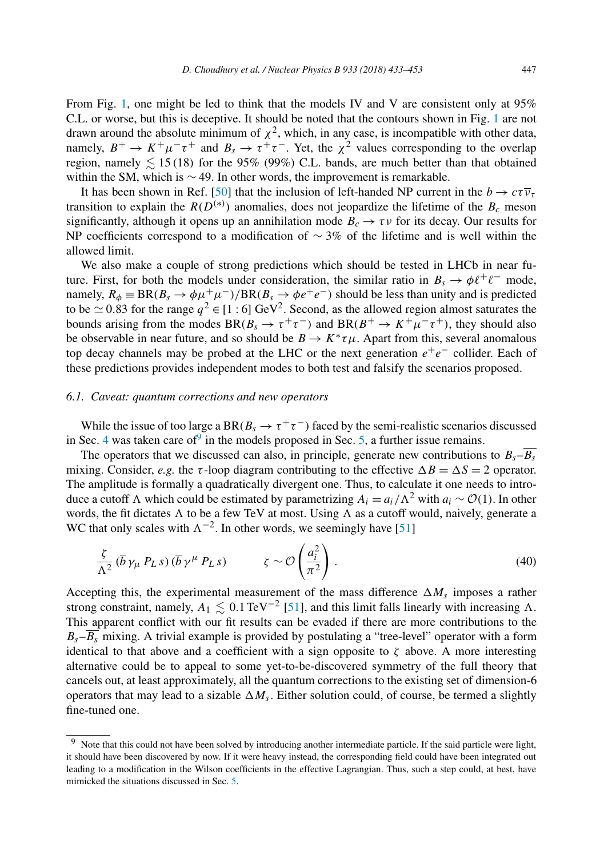<span id="page-14-0"></span>From Fig. [1,](#page-13-0) one might be led to think that the models IV and V are consistent only at 95% C.L. or worse, but this is deceptive. It should be noted that the contours shown in Fig. [1](#page-13-0) are not drawn around the absolute minimum of  $\chi^2$ , which, in any case, is incompatible with other data, namely,  $B^+ \to K^+ \mu^- \tau^+$  and  $B_s \to \tau^+ \tau^-$ . Yet, the  $\chi^2$  values corresponding to the overlap region, namely  $\lesssim 15(18)$  for the 95% (99%) C.L. bands, are much better than that obtained within the SM, which is  $\sim$  49. In other words, the improvement is remarkable.

It has been shown in Ref. [\[50\]](#page-20-0) that the inclusion of left-handed NP current in the  $b \to c\tau \overline{\nu_{\tau}}$ transition to explain the  $R(D^{(*)})$  anomalies, does not jeopardize the lifetime of the  $B_c$  meson significantly, although it opens up an annihilation mode  $B_c \rightarrow \tau \nu$  for its decay. Our results for NP coefficients correspond to a modification of  $\sim$  3% of the lifetime and is well within the allowed limit.

We also make a couple of strong predictions which should be tested in LHCb in near future. First, for both the models under consideration, the similar ratio in  $B_s \to \phi \ell^+ \ell^-$  mode, namely,  $R_{\phi} \equiv BR(B_s \to \phi \mu^+ \mu^-)/BR(B_s \to \phi e^+ e^-)$  should be less than unity and is predicted to be  $\simeq$  0.83 for the range  $q^2 \in [1:6]$  GeV<sup>2</sup>. Second, as the allowed region almost saturates the bounds arising from the modes  $BR(B_s \to \tau^+\tau^-)$  and  $BR(B^+\to K^+\mu^-\tau^+)$ , they should also be observable in near future, and so should be  $B \to K^* \tau \mu$ . Apart from this, several anomalous top decay channels may be probed at the LHC or the next generation *e*+*e*<sup>−</sup> collider. Each of these predictions provides independent modes to both test and falsify the scenarios proposed.

## *6.1. Caveat: quantum corrections and new operators*

While the issue of too large a BR( $B_s \to \tau^+\tau^-$ ) faced by the semi-realistic scenarios discussed in Sec. [4](#page-8-0) was taken care of  $\overline{9}$  in the models proposed in Sec. [5,](#page-11-0) a further issue remains.

The operators that we discussed can also, in principle, generate new contributions to  $B_s - \overline{B_s}$ mixing. Consider, *e.g.* the *τ*-loop diagram contributing to the effective  $\Delta B = \Delta S = 2$  operator. The amplitude is formally a quadratically divergent one. Thus, to calculate it one needs to introduce a cutoff  $\Lambda$  which could be estimated by parametrizing  $A_i = a_i/\Lambda^2$  with  $a_i ∼ \mathcal{O}(1)$ . In other words, the fit dictates  $\Lambda$  to be a few TeV at most. Using  $\Lambda$  as a cutoff would, naively, generate a WC that only scales with  $\Lambda^{-2}$ . In other words, we seemingly have [\[51\]](#page-20-0)

$$
\frac{\zeta}{\Lambda^2} (\overline{b} \gamma_\mu P_L s) (\overline{b} \gamma^\mu P_L s) \qquad \zeta \sim \mathcal{O}\left(\frac{a_i^2}{\pi^2}\right). \tag{40}
$$

Accepting this, the experimental measurement of the mass difference  $\Delta M_s$  imposes a rather strong constraint, namely,  $A_1 \lesssim 0.1 \,\text{TeV}^{-2}$  [\[51\]](#page-20-0), and this limit falls linearly with increasing  $\Lambda$ . This apparent conflict with our fit results can be evaded if there are more contributions to the  $B_s - B_s$  mixing. A trivial example is provided by postulating a "tree-level" operator with a form identical to that above and a coefficient with a sign opposite to  $\zeta$  above. A more interesting alternative could be to appeal to some yet-to-be-discovered symmetry of the full theory that cancels out, at least approximately, all the quantum corrections to the existing set of dimension-6 operators that may lead to a sizable  $\Delta M_s$ . Either solution could, of course, be termed a slightly fine-tuned one.

<sup>&</sup>lt;sup>9</sup> Note that this could not have been solved by introducing another intermediate particle. If the said particle were light, it should have been discovered by now. If it were heavy instead, the corresponding field could have been integrated out leading to a modification in the Wilson coefficients in the effective Lagrangian. Thus, such a step could, at best, have mimicked the situations discussed in Sec. [5.](#page-11-0)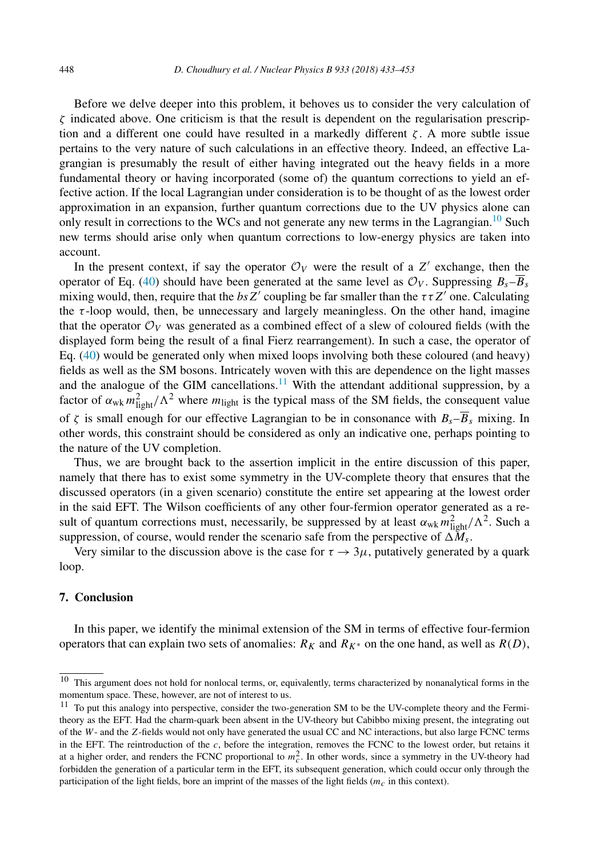<span id="page-15-0"></span>Before we delve deeper into this problem, it behoves us to consider the very calculation of *ζ* indicated above. One criticism is that the result is dependent on the regularisation prescription and a different one could have resulted in a markedly different *ζ* . A more subtle issue pertains to the very nature of such calculations in an effective theory. Indeed, an effective Lagrangian is presumably the result of either having integrated out the heavy fields in a more fundamental theory or having incorporated (some of) the quantum corrections to yield an effective action. If the local Lagrangian under consideration is to be thought of as the lowest order approximation in an expansion, further quantum corrections due to the UV physics alone can only result in corrections to the WCs and not generate any new terms in the Lagrangian.<sup>10</sup> Such new terms should arise only when quantum corrections to low-energy physics are taken into account.

In the present context, if say the operator  $\mathcal{O}_V$  were the result of a Z' exchange, then the operator of Eq. [\(40\)](#page-14-0) should have been generated at the same level as  $\mathcal{O}_V$ . Suppressing  $B_s - \overline{B}_s$ mixing would, then, require that the  $bsZ'$  coupling be far smaller than the  $\tau \tau Z'$  one. Calculating the *τ* -loop would, then, be unnecessary and largely meaningless. On the other hand, imagine that the operator  $\mathcal{O}_V$  was generated as a combined effect of a slew of coloured fields (with the displayed form being the result of a final Fierz rearrangement). In such a case, the operator of Eq. [\(40\)](#page-14-0) would be generated only when mixed loops involving both these coloured (and heavy) fields as well as the SM bosons. Intricately woven with this are dependence on the light masses and the analogue of the GIM cancellations. $11$  With the attendant additional suppression, by a factor of  $\alpha_{wk} m_{light}^2 / \Lambda^2$  where  $m_{light}$  is the typical mass of the SM fields, the consequent value of  $\zeta$  is small enough for our effective Lagrangian to be in consonance with  $B_s-\overline{B}_s$  mixing. In other words, this constraint should be considered as only an indicative one, perhaps pointing to the nature of the UV completion.

Thus, we are brought back to the assertion implicit in the entire discussion of this paper, namely that there has to exist some symmetry in the UV-complete theory that ensures that the discussed operators (in a given scenario) constitute the entire set appearing at the lowest order in the said EFT. The Wilson coefficients of any other four-fermion operator generated as a result of quantum corrections must, necessarily, be suppressed by at least  $\alpha_{wk} m_{light}^2 / \Lambda^2$ . Such a suppression, of course, would render the scenario safe from the perspective of  $\Delta M_s$ .

Very similar to the discussion above is the case for  $\tau \to 3\mu$ , putatively generated by a quark loop.

## **7. Conclusion**

In this paper, we identify the minimal extension of the SM in terms of effective four-fermion operators that can explain two sets of anomalies:  $R_K$  and  $R_{K^*}$  on the one hand, as well as  $R(D)$ ,

 $10$  This argument does not hold for nonlocal terms, or, equivalently, terms characterized by nonanalytical forms in the momentum space. These, however, are not of interest to us.

<sup>&</sup>lt;sup>11</sup> To put this analogy into perspective, consider the two-generation SM to be the UV-complete theory and the Fermitheory as the EFT. Had the charm-quark been absent in the UV-theory but Cabibbo mixing present, the integrating out of the *W*- and the *Z*-fields would not only have generated the usual CC and NC interactions, but also large FCNC terms in the EFT. The reintroduction of the *c*, before the integration, removes the FCNC to the lowest order, but retains it at a higher order, and renders the FCNC proportional to  $m_c^2$ . In other words, since a symmetry in the UV-theory had forbidden the generation of a particular term in the EFT, its subsequent generation, which could occur only through the participation of the light fields, bore an imprint of the masses of the light fields (*mc* in this context).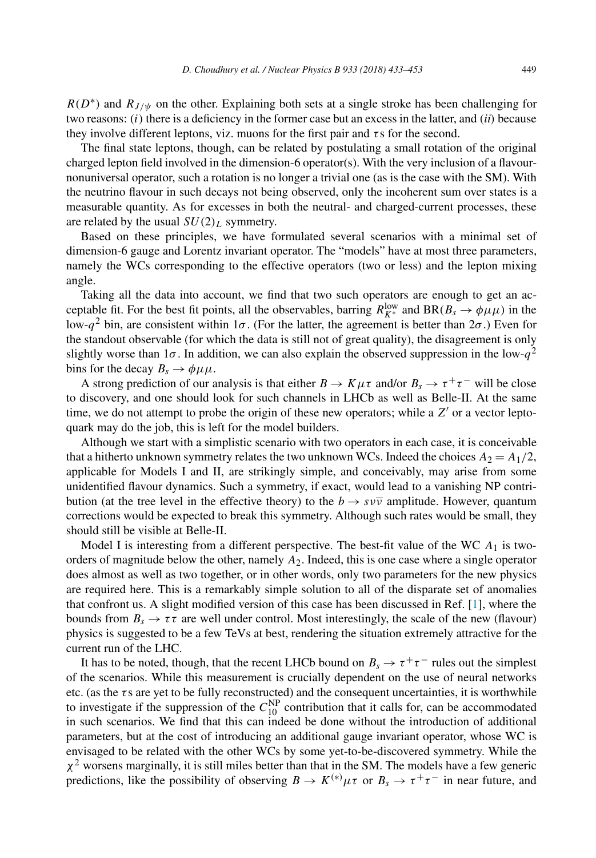$R(D^*)$  and  $R_{J/\psi}$  on the other. Explaining both sets at a single stroke has been challenging for two reasons: *(i)* there is a deficiency in the former case but an excess in the latter, and *(ii)* because they involve different leptons, viz. muons for the first pair and *τ* s for the second.

The final state leptons, though, can be related by postulating a small rotation of the original charged lepton field involved in the dimension-6 operator(s). With the very inclusion of a flavournonuniversal operator, such a rotation is no longer a trivial one (as is the case with the SM). With the neutrino flavour in such decays not being observed, only the incoherent sum over states is a measurable quantity. As for excesses in both the neutral- and charged-current processes, these are related by the usual  $SU(2)_L$  symmetry.

Based on these principles, we have formulated several scenarios with a minimal set of dimension-6 gauge and Lorentz invariant operator. The "models" have at most three parameters, namely the WCs corresponding to the effective operators (two or less) and the lepton mixing angle.

Taking all the data into account, we find that two such operators are enough to get an acceptable fit. For the best fit points, all the observables, barring  $R_{K^*}^{\text{low}}$  and  $BR(B_s \to \phi \mu \mu)$  in the low-*q*<sup>2</sup> bin, are consistent within 1*σ* . (For the latter, the agreement is better than 2*σ* .) Even for the standout observable (for which the data is still not of great quality), the disagreement is only slightly worse than 1 $\sigma$ . In addition, we can also explain the observed suppression in the low- $q^2$ bins for the decay  $B_s \to \phi \mu \mu$ .

A strong prediction of our analysis is that either  $B \to K \mu \tau$  and/or  $B_s \to \tau^+ \tau^-$  will be close to discovery, and one should look for such channels in LHCb as well as Belle-II. At the same time, we do not attempt to probe the origin of these new operators; while a Z' or a vector leptoquark may do the job, this is left for the model builders.

Although we start with a simplistic scenario with two operators in each case, it is conceivable that a hitherto unknown symmetry relates the two unknown WCs. Indeed the choices  $A_2 = A_1/2$ , applicable for Models I and II, are strikingly simple, and conceivably, may arise from some unidentified flavour dynamics. Such a symmetry, if exact, would lead to a vanishing NP contribution (at the tree level in the effective theory) to the  $b \to s \nu \overline{\nu}$  amplitude. However, quantum corrections would be expected to break this symmetry. Although such rates would be small, they should still be visible at Belle-II.

Model I is interesting from a different perspective. The best-fit value of the WC *A*<sup>1</sup> is twoorders of magnitude below the other, namely *A*2. Indeed, this is one case where a single operator does almost as well as two together, or in other words, only two parameters for the new physics are required here. This is a remarkably simple solution to all of the disparate set of anomalies that confront us. A slight modified version of this case has been discussed in Ref. [\[1\]](#page-18-0), where the bounds from  $B_s \to \tau \tau$  are well under control. Most interestingly, the scale of the new (flavour) physics is suggested to be a few TeVs at best, rendering the situation extremely attractive for the current run of the LHC.

It has to be noted, though, that the recent LHCb bound on  $B_s \to \tau^+\tau^-$  rules out the simplest of the scenarios. While this measurement is crucially dependent on the use of neural networks etc. (as the *τ* s are yet to be fully reconstructed) and the consequent uncertainties, it is worthwhile to investigate if the suppression of the  $C_{10}^{NP}$  contribution that it calls for, can be accommodated in such scenarios. We find that this can indeed be done without the introduction of additional parameters, but at the cost of introducing an additional gauge invariant operator, whose WC is envisaged to be related with the other WCs by some yet-to-be-discovered symmetry. While the *χ*<sup>2</sup> worsens marginally, it is still miles better than that in the SM. The models have a few generic predictions, like the possibility of observing  $B \to K^{(*)} \mu \tau$  or  $B_s \to \tau^+ \tau^-$  in near future, and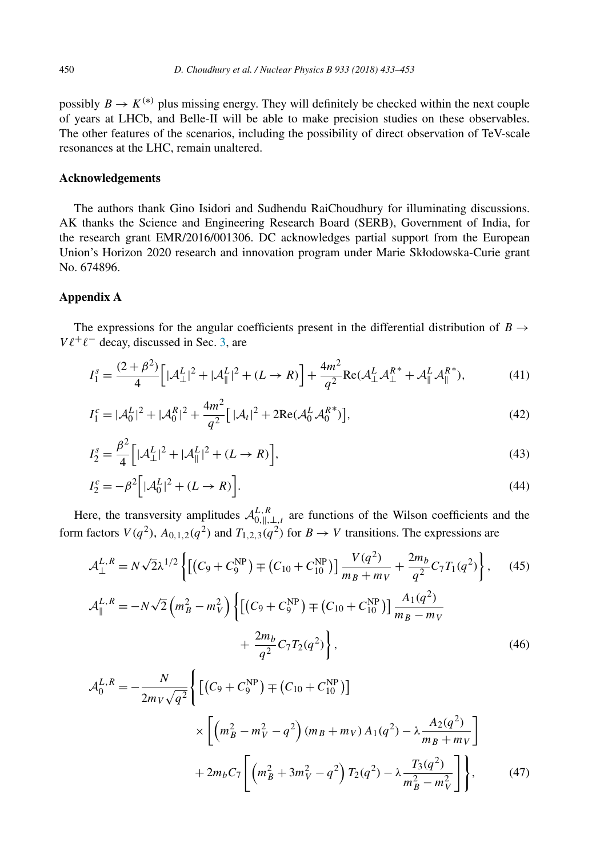<span id="page-17-0"></span>possibly  $B \to K^{(*)}$  plus missing energy. They will definitely be checked within the next couple of years at LHCb, and Belle-II will be able to make precision studies on these observables. The other features of the scenarios, including the possibility of direct observation of TeV-scale resonances at the LHC, remain unaltered.

## **Acknowledgements**

The authors thank Gino Isidori and Sudhendu RaiChoudhury for illuminating discussions. AK thanks the Science and Engineering Research Board (SERB), Government of India, for the research grant EMR/2016/001306. DC acknowledges partial support from the European Union's Horizon 2020 research and innovation program under Marie Skłodowska-Curie grant No. 674896.

## **Appendix A**

The expressions for the angular coefficients present in the differential distribution of  $B \rightarrow$  $V \ell^+ \ell^-$  decay, discussed in Sec. [3,](#page-6-0) are

$$
I_1^s = \frac{(2+\beta^2)}{4} \Big[ |\mathcal{A}_{\perp}^L|^2 + |\mathcal{A}_{\parallel}^L|^2 + (L \to R) \Big] + \frac{4m^2}{q^2} \text{Re}(\mathcal{A}_{\perp}^L \mathcal{A}_{\perp}^{R^*} + \mathcal{A}_{\parallel}^L \mathcal{A}_{\parallel}^{R^*}), \tag{41}
$$

$$
I_1^c = |\mathcal{A}_0^L|^2 + |\mathcal{A}_0^R|^2 + \frac{4m^2}{q^2} [|\mathcal{A}_t|^2 + 2\text{Re}(\mathcal{A}_0^L \mathcal{A}_0^{R^*})],\tag{42}
$$

$$
I_2^s = \frac{\beta^2}{4} \Big[ |\mathcal{A}_\perp^L|^2 + |\mathcal{A}_\parallel^L|^2 + (L \to R) \Big],\tag{43}
$$

$$
I_2^c = -\beta^2 \Big[ |\mathcal{A}_0^L|^2 + (L \to R) \Big]. \tag{44}
$$

Here, the transversity amplitudes  $\mathcal{A}_{0,\parallel,\perp,t}^{L,R}$  are functions of the Wilson coefficients and the form factors  $V(q^2)$ ,  $A_{0,1,2}(q^2)$  and  $T_{1,2,3}(q^2)$  for  $B \to V$  transitions. The expressions are

$$
\mathcal{A}_{\perp}^{L,R} = N\sqrt{2}\lambda^{1/2} \left\{ \left[ \left( C_9 + C_9^{\text{NP}} \right) \mp \left( C_{10} + C_{10}^{\text{NP}} \right) \right] \frac{V(q^2)}{m_B + m_V} + \frac{2m_b}{q^2} C_7 T_1(q^2) \right\}, \quad (45)
$$
  

$$
\mathcal{A}_{\parallel}^{L,R} = -N\sqrt{2} \left( m_B^2 - m_V^2 \right) \left\{ \left[ \left( C_9 + C_9^{\text{NP}} \right) \mp \left( C_{10} + C_{10}^{\text{NP}} \right) \right] \frac{A_1(q^2)}{m_B - m_V} + \frac{2m_b}{q^2} C_7 T_2(q^2) \right\}, \quad (46)
$$

$$
\mathcal{A}_0^{L,R} = -\frac{N}{2m_V\sqrt{q^2}} \Biggl\{ \Biggl[ (C_9 + C_9^{\text{NP}}) \mp (C_{10} + C_{10}^{\text{NP}}) \Biggr] \times \Biggl[ \Bigl( m_B^2 - m_V^2 - q^2 \Bigr) (m_B + m_V) A_1(q^2) - \lambda \frac{A_2(q^2)}{m_B + m_V} \Biggr] + 2m_b C_7 \Biggl[ \Bigl( m_B^2 + 3m_V^2 - q^2 \Bigr) T_2(q^2) - \lambda \frac{T_3(q^2)}{m_B^2 - m_V^2} \Biggr] \Biggr\}, \tag{47}
$$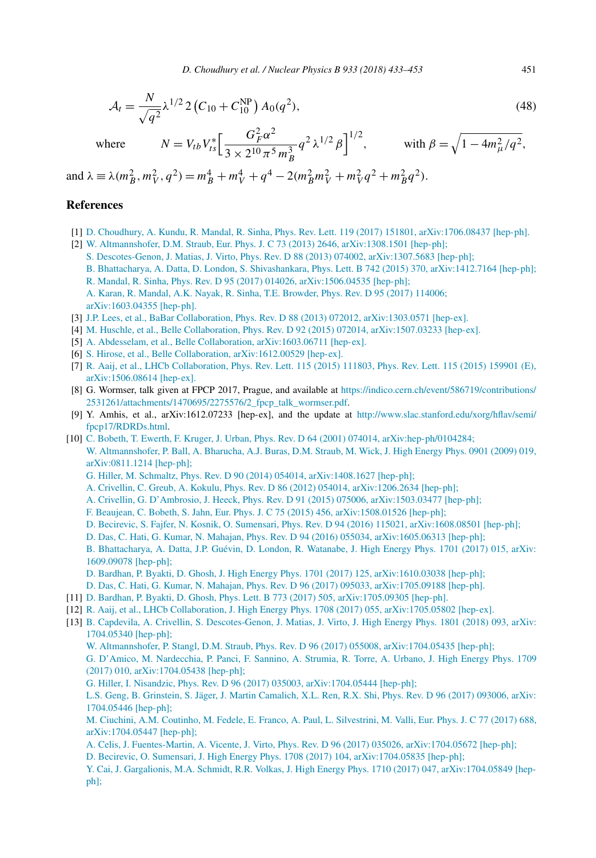<span id="page-18-0"></span>
$$
\mathcal{A}_t = \frac{N}{\sqrt{q^2}} \lambda^{1/2} 2 \left( C_{10} + C_{10}^{\text{NP}} \right) A_0(q^2),\tag{48}
$$

 $where$ 

$$
N = V_{tb} V_{ts}^* \left[ \frac{G_F^2 \alpha^2}{3 \times 2^{10} \pi^5 m_B^3} q^2 \lambda^{1/2} \beta \right]^{1/2}, \quad \text{with } \beta = \sqrt{1 - 4m_\mu^2/q^2},
$$

and  $\lambda = \lambda (m_B^2, m_V^2, q^2) = m_B^4 + m_V^4 + q^4 - 2(m_B^2 m_V^2 + m_V^2 q^2 + m_B^2 q^2).$ 

*<sup>F</sup> <sup>α</sup>*<sup>2</sup>

# **References**

- [1] D. Choudhury, A. Kundu, R. Mandal, R. Sinha, Phys. Rev. Lett. 119 (2017) 151801, [arXiv:1706.08437 \[hep-ph\].](http://refhub.elsevier.com/S0550-3213(18)30179-2/bib6F75722D70726Cs1)
- [2] W. Altmannshofer, D.M. Straub, Eur. Phys. J. C 73 (2013) 2646, [arXiv:1308.1501 \[hep-ph\];](http://refhub.elsevier.com/S0550-3213(18)30179-2/bib727573615F73696E6861s1) S. Descotes-Genon, J. Matias, J. Virto, Phys. Rev. D 88 (2013) 074002, [arXiv:1307.5683 \[hep-ph\];](http://refhub.elsevier.com/S0550-3213(18)30179-2/bib727573615F73696E6861s2)
	- B. Bhattacharya, A. Datta, D. London, S. Shivashankara, Phys. Lett. B 742 (2015) 370, [arXiv:1412.7164 \[hep-ph\];](http://refhub.elsevier.com/S0550-3213(18)30179-2/bib727573615F73696E6861s3) R. Mandal, R. Sinha, Phys. Rev. D 95 (2017) 014026, [arXiv:1506.04535 \[hep-ph\];](http://refhub.elsevier.com/S0550-3213(18)30179-2/bib727573615F73696E6861s4)

- [3] J.P. Lees, et al., BaBar Collaboration, Phys. Rev. D 88 (2013) 072012, [arXiv:1303.0571 \[hep-ex\].](http://refhub.elsevier.com/S0550-3213(18)30179-2/bib4C6565733A32303133757A64s1)
- [4] M. Huschle, et al., Belle Collaboration, Phys. Rev. D 92 (2015) 072014, [arXiv:1507.03233 \[hep-ex\].](http://refhub.elsevier.com/S0550-3213(18)30179-2/bib48757363686C653A32303135726761s1)
- [5] A. Abdesselam, et al., Belle Collaboration, [arXiv:1603.06711 \[hep-ex\].](http://refhub.elsevier.com/S0550-3213(18)30179-2/bib416264657373656C616D3A32303136636778s1)
- [6] S. Hirose, et al., Belle Collaboration, [arXiv:1612.00529 \[hep-ex\].](http://refhub.elsevier.com/S0550-3213(18)30179-2/bib4869726F73653A3230313677666Es1)
- [7] R. Aaij, et al., LHCb [Collaboration,](http://refhub.elsevier.com/S0550-3213(18)30179-2/bib4161696A3A32303135797261s1) Phys. Rev. Lett. 115 (2015) 111803, Phys. Rev. Lett. 115 (2015) 159901 (E), [arXiv:1506.08614 \[hep-ex\].](http://refhub.elsevier.com/S0550-3213(18)30179-2/bib4161696A3A32303135797261s1)
- [8] G. Wormser, talk given at FPCP 2017, Prague, and available at [https://indico.cern.ch/event/586719/contributions/](https://indico.cern.ch/event/586719/contributions/2531261/attachments/1470695/2275576/2_fpcp_talk_wormser.pdf) [2531261/attachments/1470695/2275576/2\\_fpcp\\_talk\\_wormser.pdf](https://indico.cern.ch/event/586719/contributions/2531261/attachments/1470695/2275576/2_fpcp_talk_wormser.pdf).
- [9] Y. Amhis, et al., arXiv:1612.07233 [hep-ex], and the update at [http://www.slac.stanford.edu/xorg/hflav/semi/](http://www.slac.stanford.edu/xorg/hflav/semi/fpcp17/RDRDs.html) [fpcp17/RDRDs.html.](http://www.slac.stanford.edu/xorg/hflav/semi/fpcp17/RDRDs.html)
- [10] C. Bobeth, T. Ewerth, F. Kruger, J. Urban, Phys. Rev. D 64 (2001) 074014, [arXiv:hep-ph/0104284;](http://refhub.elsevier.com/S0550-3213(18)30179-2/bib6F6C646C6974s1) W. [Altmannshofer,](http://refhub.elsevier.com/S0550-3213(18)30179-2/bib6F6C646C6974s2) P. Ball, A. Bharucha, A.J. Buras, D.M. Straub, M. Wick, J. High Energy Phys. 0901 (2009) 019, [arXiv:0811.1214 \[hep-ph\];](http://refhub.elsevier.com/S0550-3213(18)30179-2/bib6F6C646C6974s2)
	- G. Hiller, M. Schmaltz, Phys. Rev. D 90 (2014) 054014, [arXiv:1408.1627 \[hep-ph\];](http://refhub.elsevier.com/S0550-3213(18)30179-2/bib6F6C646C6974s3)
	- A. Crivellin, C. Greub, A. Kokulu, Phys. Rev. D 86 (2012) 054014, [arXiv:1206.2634 \[hep-ph\];](http://refhub.elsevier.com/S0550-3213(18)30179-2/bib6F6C646C6974s4)
	- A. Crivellin, G. D'Ambrosio, J. Heeck, Phys. Rev. D 91 (2015) 075006, [arXiv:1503.03477 \[hep-ph\];](http://refhub.elsevier.com/S0550-3213(18)30179-2/bib6F6C646C6974s5)
	- F. Beaujean, C. Bobeth, S. Jahn, Eur. Phys. J. C 75 (2015) 456, [arXiv:1508.01526 \[hep-ph\];](http://refhub.elsevier.com/S0550-3213(18)30179-2/bib6F6C646C6974s6)
	- D. Becirevic, S. Fajfer, N. Kosnik, O. Sumensari, Phys. Rev. D 94 (2016) 115021, [arXiv:1608.08501 \[hep-ph\];](http://refhub.elsevier.com/S0550-3213(18)30179-2/bib6F6C646C6974s7)
	- D. Das, C. Hati, G. Kumar, N. Mahajan, Phys. Rev. D 94 (2016) 055034, [arXiv:1605.06313 \[hep-ph\];](http://refhub.elsevier.com/S0550-3213(18)30179-2/bib6F6C646C6974s8)
	- B. [Bhattacharya,](http://refhub.elsevier.com/S0550-3213(18)30179-2/bib6F6C646C6974s9) A. Datta, J.P. Guévin, D. London, R. Watanabe, J. High Energy Phys. 1701 (2017) 015, arXiv: [1609.09078 \[hep-ph\];](http://refhub.elsevier.com/S0550-3213(18)30179-2/bib6F6C646C6974s9)
	- D. Bardhan, P. Byakti, D. Ghosh, J. High Energy Phys. 1701 (2017) 125, [arXiv:1610.03038 \[hep-ph\];](http://refhub.elsevier.com/S0550-3213(18)30179-2/bib6F6C646C6974s10)
	- D. Das, C. Hati, G. Kumar, N. Mahajan, Phys. Rev. D 96 (2017) 095033, [arXiv:1705.09188 \[hep-ph\].](http://refhub.elsevier.com/S0550-3213(18)30179-2/bib6F6C646C6974s11)
- [11] D. Bardhan, P. Byakti, D. Ghosh, Phys. Lett. B 773 (2017) 505, [arXiv:1705.09305 \[hep-ph\].](http://refhub.elsevier.com/S0550-3213(18)30179-2/bib6279616B7469s1)
- [12] R. Aaij, et al., LHCb Collaboration, J. High Energy Phys. 1708 (2017) 055, [arXiv:1705.05802 \[hep-ex\].](http://refhub.elsevier.com/S0550-3213(18)30179-2/bib4161696A3A32303137766262s1)
- [13] B. Capdevila, A. Crivellin, S. [Descotes-Genon,](http://refhub.elsevier.com/S0550-3213(18)30179-2/bib726B6E6577s1) J. Matias, J. Virto, J. High Energy Phys. 1801 (2018) 093, arXiv: [1704.05340 \[hep-ph\];](http://refhub.elsevier.com/S0550-3213(18)30179-2/bib726B6E6577s1)
	- W. Altmannshofer, P. Stangl, D.M. Straub, Phys. Rev. D 96 (2017) 055008, [arXiv:1704.05435 \[hep-ph\];](http://refhub.elsevier.com/S0550-3213(18)30179-2/bib726B6E6577s2) G. D'Amico, M. [Nardecchia,](http://refhub.elsevier.com/S0550-3213(18)30179-2/bib726B6E6577s3) P. Panci, F. Sannino, A. Strumia, R. Torre, A. Urbano, J. High Energy Phys. 1709 (2017) 010, [arXiv:1704.05438 \[hep-ph\];](http://refhub.elsevier.com/S0550-3213(18)30179-2/bib726B6E6577s3)
	- G. Hiller, I. Nisandzic, Phys. Rev. D 96 (2017) 035003, [arXiv:1704.05444 \[hep-ph\];](http://refhub.elsevier.com/S0550-3213(18)30179-2/bib726B6E6577s4)

L.S. Geng, B. Grinstein, S. Jäger, J. Martin [Camalich,](http://refhub.elsevier.com/S0550-3213(18)30179-2/bib726B6E6577s5) X.L. Ren, R.X. Shi, Phys. Rev. D 96 (2017) 093006, arXiv: [1704.05446 \[hep-ph\];](http://refhub.elsevier.com/S0550-3213(18)30179-2/bib726B6E6577s5)

- M. Ciuchini, A.M. Coutinho, M. Fedele, E. Franco, A. Paul, L. [Silvestrini,](http://refhub.elsevier.com/S0550-3213(18)30179-2/bib726B6E6577s6) M. Valli, Eur. Phys. J. C 77 (2017) 688, [arXiv:1704.05447 \[hep-ph\];](http://refhub.elsevier.com/S0550-3213(18)30179-2/bib726B6E6577s6)
- A. Celis, J. Fuentes-Martin, A. Vicente, J. Virto, Phys. Rev. D 96 (2017) 035026, [arXiv:1704.05672 \[hep-ph\];](http://refhub.elsevier.com/S0550-3213(18)30179-2/bib726B6E6577s7)
- D. Becirevic, O. Sumensari, J. High Energy Phys. 1708 (2017) 104, [arXiv:1704.05835 \[hep-ph\];](http://refhub.elsevier.com/S0550-3213(18)30179-2/bib726B6E6577s8)
- Y. Cai, J. Gargalionis, M.A. Schmidt, R.R. Volkas, J. High Energy Phys. 1710 (2017) 047, [arXiv:1704.05849 \[hep](http://refhub.elsevier.com/S0550-3213(18)30179-2/bib726B6E6577s9)[ph\];](http://refhub.elsevier.com/S0550-3213(18)30179-2/bib726B6E6577s9)

A. Karan, R. Mandal, A.K. Nayak, R. Sinha, T.E. [Browder,](http://refhub.elsevier.com/S0550-3213(18)30179-2/bib727573615F73696E6861s5) Phys. Rev. D 95 (2017) 114006; [arXiv:1603.04355 \[hep-ph\].](http://refhub.elsevier.com/S0550-3213(18)30179-2/bib727573615F73696E6861s6)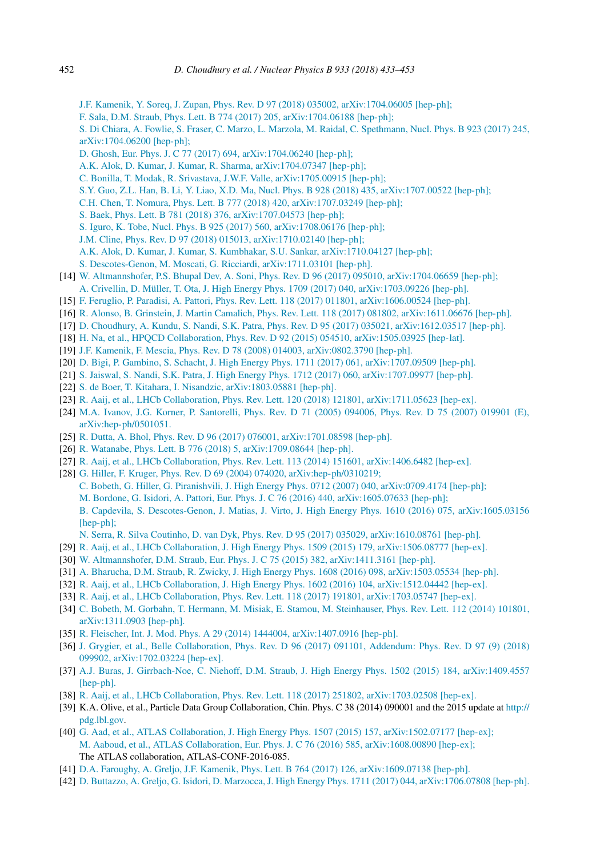- <span id="page-19-0"></span>J.F. Kamenik, Y. Soreq, J. Zupan, Phys. Rev. D 97 (2018) 035002, [arXiv:1704.06005 \[hep-ph\];](http://refhub.elsevier.com/S0550-3213(18)30179-2/bib726B6E6577s10)
- F. Sala, D.M. Straub, Phys. Lett. B 774 (2017) 205, [arXiv:1704.06188 \[hep-ph\];](http://refhub.elsevier.com/S0550-3213(18)30179-2/bib726B6E6577s11)
- S. Di Chiara, A. Fowlie, S. Fraser, C. Marzo, L. Marzola, M. Raidal, C. [Spethmann,](http://refhub.elsevier.com/S0550-3213(18)30179-2/bib726B6E6577s12) Nucl. Phys. B 923 (2017) 245, [arXiv:1704.06200 \[hep-ph\];](http://refhub.elsevier.com/S0550-3213(18)30179-2/bib726B6E6577s12)
- D. Ghosh, Eur. Phys. J. C 77 (2017) 694, [arXiv:1704.06240 \[hep-ph\];](http://refhub.elsevier.com/S0550-3213(18)30179-2/bib726B6E6577s13)
- A.K. Alok, D. Kumar, J. Kumar, R. Sharma, [arXiv:1704.07347 \[hep-ph\];](http://refhub.elsevier.com/S0550-3213(18)30179-2/bib726B6E6577s14)
- C. Bonilla, T. Modak, R. Srivastava, J.W.F. Valle, [arXiv:1705.00915 \[hep-ph\];](http://refhub.elsevier.com/S0550-3213(18)30179-2/bib726B6E6577s15)
- S.Y. Guo, Z.L. Han, B. Li, Y. Liao, X.D. Ma, Nucl. Phys. B 928 (2018) 435, [arXiv:1707.00522 \[hep-ph\];](http://refhub.elsevier.com/S0550-3213(18)30179-2/bib726B6E6577s16)
- C.H. Chen, T. Nomura, Phys. Lett. B 777 (2018) 420, [arXiv:1707.03249 \[hep-ph\];](http://refhub.elsevier.com/S0550-3213(18)30179-2/bib726B6E6577s17)
- S. Baek, Phys. Lett. B 781 (2018) 376, [arXiv:1707.04573 \[hep-ph\];](http://refhub.elsevier.com/S0550-3213(18)30179-2/bib726B6E6577s18)
- S. Iguro, K. Tobe, Nucl. Phys. B 925 (2017) 560, [arXiv:1708.06176 \[hep-ph\];](http://refhub.elsevier.com/S0550-3213(18)30179-2/bib726B6E6577s19)
- J.M. Cline, Phys. Rev. D 97 (2018) 015013, [arXiv:1710.02140 \[hep-ph\];](http://refhub.elsevier.com/S0550-3213(18)30179-2/bib726B6E6577s20)
- A.K. Alok, D. Kumar, J. Kumar, S. Kumbhakar, S.U. Sankar, [arXiv:1710.04127 \[hep-ph\];](http://refhub.elsevier.com/S0550-3213(18)30179-2/bib726B6E6577s21)
- S. Descotes-Genon, M. Moscati, G. Ricciardi, [arXiv:1711.03101 \[hep-ph\].](http://refhub.elsevier.com/S0550-3213(18)30179-2/bib726B6E6577s22)
- [14] W. Altmannshofer, P.S. Bhupal Dev, A. Soni, Phys. Rev. D 96 (2017) 095010, [arXiv:1704.06659 \[hep-ph\];](http://refhub.elsevier.com/S0550-3213(18)30179-2/bib6E65776C6974s1) A. Crivellin, D. Müller, T. Ota, J. High Energy Phys. 1709 (2017) 040, [arXiv:1703.09226 \[hep-ph\].](http://refhub.elsevier.com/S0550-3213(18)30179-2/bib6E65776C6974s2)
- [15] F. Feruglio, P. Paradisi, A. Pattori, Phys. Rev. Lett. 118 (2017) 011801, [arXiv:1606.00524 \[hep-ph\].](http://refhub.elsevier.com/S0550-3213(18)30179-2/bib66657275676C696Fs1)
- [16] R. Alonso, B. Grinstein, J. Martin Camalich, Phys. Rev. Lett. 118 (2017) 081802, [arXiv:1611.06676 \[hep-ph\].](http://refhub.elsevier.com/S0550-3213(18)30179-2/bib62632D6772696E737465696Es1)
- [17] D. Choudhury, A. Kundu, S. Nandi, S.K. Patra, Phys. Rev. D 95 (2017) 035021, [arXiv:1612.03517 \[hep-ph\].](http://refhub.elsevier.com/S0550-3213(18)30179-2/bib43686F7564687572793A32303136756C72s1)
- [18] H. Na, et al., HPQCD Collaboration, Phys. Rev. D 92 (2015) 054510, [arXiv:1505.03925 \[hep-lat\].](http://refhub.elsevier.com/S0550-3213(18)30179-2/bib4E613A323031356B6861s1)
- [19] J.F. Kamenik, F. Mescia, Phys. Rev. D 78 (2008) 014003, [arXiv:0802.3790 \[hep-ph\].](http://refhub.elsevier.com/S0550-3213(18)30179-2/bib4B616D656E696B3A32303038746As1)
- [20] D. Bigi, P. Gambino, S. Schacht, J. High Energy Phys. 1711 (2017) 061, [arXiv:1707.09509 \[hep-ph\].](http://refhub.elsevier.com/S0550-3213(18)30179-2/bib67616D62696E6Fs1)
- [21] S. Jaiswal, S. Nandi, S.K. Patra, J. High Energy Phys. 1712 (2017) 060, [arXiv:1707.09977 \[hep-ph\].](http://refhub.elsevier.com/S0550-3213(18)30179-2/bib736E656861s1)
- [22] S. de Boer, T. Kitahara, I. Nisandzic, [arXiv:1803.05881 \[hep-ph\].](http://refhub.elsevier.com/S0550-3213(18)30179-2/bib6465626F65723138s1)
- [23] R. Aaij, et al., LHCb Collaboration, Phys. Rev. Lett. 120 (2018) 121801, [arXiv:1711.05623 \[hep-ex\].](http://refhub.elsevier.com/S0550-3213(18)30179-2/bib6C68635F625F6675747572655F7061706572s1)
- [24] M.A. Ivanov, J.G. Korner, P. [Santorelli,](http://refhub.elsevier.com/S0550-3213(18)30179-2/bib4976616E6F763A323030356664s1) Phys. Rev. D 71 (2005) 094006, Phys. Rev. D 75 (2007) 019901 (E), [arXiv:hep-ph/0501051.](http://refhub.elsevier.com/S0550-3213(18)30179-2/bib4976616E6F763A323030356664s1)
- [25] R. Dutta, A. Bhol, Phys. Rev. D 96 (2017) 076001, [arXiv:1701.08598 \[hep-ph\].](http://refhub.elsevier.com/S0550-3213(18)30179-2/bib44757474613A32303137786D6As1)
- [26] R. Watanabe, Phys. Lett. B 776 (2018) 5, [arXiv:1709.08644 \[hep-ph\].](http://refhub.elsevier.com/S0550-3213(18)30179-2/bib576174616E6162653A323031376D6970s1)
- [27] R. Aaij, et al., LHCb Collaboration, Phys. Rev. Lett. 113 (2014) 151601, [arXiv:1406.6482 \[hep-ex\].](http://refhub.elsevier.com/S0550-3213(18)30179-2/bib313430362E36343832s1)
- [28] G. Hiller, F. Kruger, Phys. Rev. D 69 (2004) 074020, [arXiv:hep-ph/0310219;](http://refhub.elsevier.com/S0550-3213(18)30179-2/bib736D2D70726564s1) C. Bobeth, G. Hiller, G. Piranishvili, J. High Energy Phys. 0712 (2007) 040, [arXiv:0709.4174 \[hep-ph\];](http://refhub.elsevier.com/S0550-3213(18)30179-2/bib736D2D70726564s2) M. Bordone, G. Isidori, A. Pattori, Eur. Phys. J. C 76 (2016) 440, [arXiv:1605.07633 \[hep-ph\];](http://refhub.elsevier.com/S0550-3213(18)30179-2/bib736D2D70726564s3) B. Capdevila, S. Descotes-Genon, J. Matias, J. Virto, J. High Energy Phys. 1610 (2016) 075, [arXiv:1605.03156](http://refhub.elsevier.com/S0550-3213(18)30179-2/bib736D2D70726564s4) [\[hep-ph\];](http://refhub.elsevier.com/S0550-3213(18)30179-2/bib736D2D70726564s4) N. Serra, R. Silva Coutinho, D. van Dyk, Phys. Rev. D 95 (2017) 035029, [arXiv:1610.08761 \[hep-ph\].](http://refhub.elsevier.com/S0550-3213(18)30179-2/bib736D2D70726564s5)
- [29] R. Aaij, et al., LHCb Collaboration, J. High Energy Phys. 1509 (2015) 179, [arXiv:1506.08777 \[hep-ex\].](http://refhub.elsevier.com/S0550-3213(18)30179-2/bib4161696A3A32303135657361s1)
- [30] W. Altmannshofer, D.M. Straub, Eur. Phys. J. C 75 (2015) 382, [arXiv:1411.3161 \[hep-ph\].](http://refhub.elsevier.com/S0550-3213(18)30179-2/bib416C746D616E6E73686F6665723A32303134727461s1)
- [31] A. Bharucha, D.M. Straub, R. Zwicky, J. High Energy Phys. 1608 (2016) 098, [arXiv:1503.05534 \[hep-ph\].](http://refhub.elsevier.com/S0550-3213(18)30179-2/bib5374726175623A32303135696361s1)
- [32] R. Aaij, et al., LHCb Collaboration, J. High Energy Phys. 1602 (2016) 104, [arXiv:1512.04442 \[hep-ex\].](http://refhub.elsevier.com/S0550-3213(18)30179-2/bib4C4843623A32303135646C61s1)
- [33] R. Aaij, et al., LHCb Collaboration, Phys. Rev. Lett. 118 (2017) 191801, [arXiv:1703.05747 \[hep-ex\].](http://refhub.elsevier.com/S0550-3213(18)30179-2/bib42736D756D75s1)
- 
- [34] C. Bobeth, M. Gorbahn, T. Hermann, M. Misiak, E. Stamou, M. [Steinhauser,](http://refhub.elsevier.com/S0550-3213(18)30179-2/bib42736D756D75534Ds1) Phys. Rev. Lett. 112 (2014) 101801, [arXiv:1311.0903 \[hep-ph\].](http://refhub.elsevier.com/S0550-3213(18)30179-2/bib42736D756D75534Ds1)
- [35] R. Fleischer, Int. J. Mod. Phys. A 29 (2014) 1444004, [arXiv:1407.0916 \[hep-ph\].](http://refhub.elsevier.com/S0550-3213(18)30179-2/bib466C656973636865723A323031346A6161s1)
- [36] J. Grygier, et al., Belle [Collaboration,](http://refhub.elsevier.com/S0550-3213(18)30179-2/bib62656C6C653137s1) Phys. Rev. D 96 (2017) 091101, Addendum: Phys. Rev. D 97 (9) (2018) 099902, [arXiv:1702.03224 \[hep-ex\].](http://refhub.elsevier.com/S0550-3213(18)30179-2/bib62656C6C653137s1)
- [37] A.J. Buras, J. Girrbach-Noe, C. Niehoff, D.M. Straub, J. High Energy Phys. 1502 (2015) 184, [arXiv:1409.4557](http://refhub.elsevier.com/S0550-3213(18)30179-2/bib4D45545F534Ds1) [\[hep-ph\].](http://refhub.elsevier.com/S0550-3213(18)30179-2/bib4D45545F534Ds1)
- [38] R. Aaij, et al., LHCb Collaboration, Phys. Rev. Lett. 118 (2017) 251802, [arXiv:1703.02508 \[hep-ex\].](http://refhub.elsevier.com/S0550-3213(18)30179-2/bib4161696A3A32303137787174s1)
- [39] K.A. Olive, et al., Particle Data Group Collaboration, Chin. Phys. C 38 (2014) 090001 and the 2015 update at [http://](http://pdg.lbl.gov) [pdg.lbl.gov](http://pdg.lbl.gov).
- [40] G. Aad, et al., ATLAS Collaboration, J. High Energy Phys. 1507 (2015) 157, [arXiv:1502.07177 \[hep-ex\];](http://refhub.elsevier.com/S0550-3213(18)30179-2/bib61746C61732D6469746175s1) M. Aaboud, et al., ATLAS Collaboration, Eur. Phys. J. C 76 (2016) 585, [arXiv:1608.00890 \[hep-ex\];](http://refhub.elsevier.com/S0550-3213(18)30179-2/bib61746C61732D6469746175s2) The ATLAS collaboration, ATLAS-CONF-2016-085.
- [41] D.A. Faroughy, A. Greljo, J.F. Kamenik, Phys. Lett. B 764 (2017) 126, [arXiv:1609.07138 \[hep-ph\].](http://refhub.elsevier.com/S0550-3213(18)30179-2/bib313630392E3037313338s1)
- [42] D. Buttazzo, A. Greljo, G. Isidori, D. Marzocca, J. High Energy Phys. 1711 (2017) 044, [arXiv:1706.07808 \[hep-ph\].](http://refhub.elsevier.com/S0550-3213(18)30179-2/bib313730362E3037383038s1)